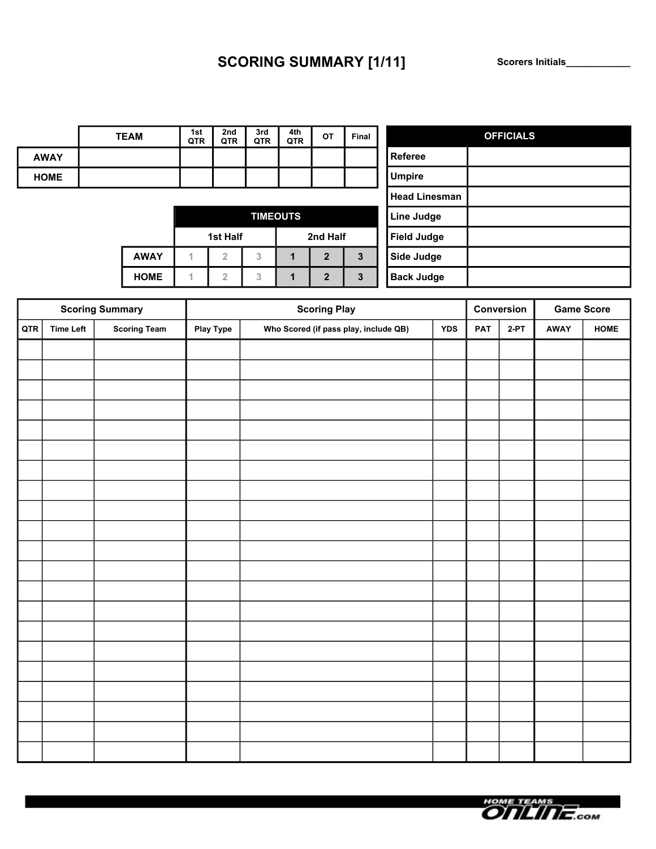# **SCORING SUMMARY [1/11] Scorers Initials\_\_\_\_\_\_\_\_\_\_\_\_**

|             | <b>TEAM</b> | 1st<br>QTR | 2nd<br>QTR | 3rd<br>QTR      | 4th<br>QTR | <b>OT</b>    | Final | <b>OFFICIALS</b>     |
|-------------|-------------|------------|------------|-----------------|------------|--------------|-------|----------------------|
| <b>AWAY</b> |             |            |            |                 |            |              |       | <b>Referee</b>       |
| <b>HOME</b> |             |            |            |                 |            |              |       | <b>Umpire</b>        |
|             |             |            |            |                 |            |              |       | <b>Head Linesman</b> |
|             |             |            |            | <b>TIMEOUTS</b> |            |              |       | Line Judge           |
|             |             |            | 1st Half   |                 |            | 2nd Half     |       | <b>Field Judge</b>   |
|             | <b>AWAY</b> |            | $\Omega$   | 3               |            | $\mathbf{2}$ | 3     | <b>Side Judge</b>    |
|             | <b>HOME</b> |            | $\sqrt{2}$ | 3               |            | $\mathbf{2}$ | 3     | <b>Back Judge</b>    |

|     |                  | <b>Scoring Summary</b> |           | <b>Scoring Play</b>                   |            |     | Conversion | <b>Game Score</b> |      |
|-----|------------------|------------------------|-----------|---------------------------------------|------------|-----|------------|-------------------|------|
| QTR | <b>Time Left</b> | <b>Scoring Team</b>    | Play Type | Who Scored (if pass play, include QB) | <b>YDS</b> | PAT | $2-PT$     | AWAY              | HOME |
|     |                  |                        |           |                                       |            |     |            |                   |      |
|     |                  |                        |           |                                       |            |     |            |                   |      |
|     |                  |                        |           |                                       |            |     |            |                   |      |
|     |                  |                        |           |                                       |            |     |            |                   |      |
|     |                  |                        |           |                                       |            |     |            |                   |      |
|     |                  |                        |           |                                       |            |     |            |                   |      |
|     |                  |                        |           |                                       |            |     |            |                   |      |
|     |                  |                        |           |                                       |            |     |            |                   |      |
|     |                  |                        |           |                                       |            |     |            |                   |      |
|     |                  |                        |           |                                       |            |     |            |                   |      |
|     |                  |                        |           |                                       |            |     |            |                   |      |
|     |                  |                        |           |                                       |            |     |            |                   |      |
|     |                  |                        |           |                                       |            |     |            |                   |      |
|     |                  |                        |           |                                       |            |     |            |                   |      |
|     |                  |                        |           |                                       |            |     |            |                   |      |
|     |                  |                        |           |                                       |            |     |            |                   |      |
|     |                  |                        |           |                                       |            |     |            |                   |      |
|     |                  |                        |           |                                       |            |     |            |                   |      |
|     |                  |                        |           |                                       |            |     |            |                   |      |
|     |                  |                        |           |                                       |            |     |            |                   |      |
|     |                  |                        |           |                                       |            |     |            |                   |      |

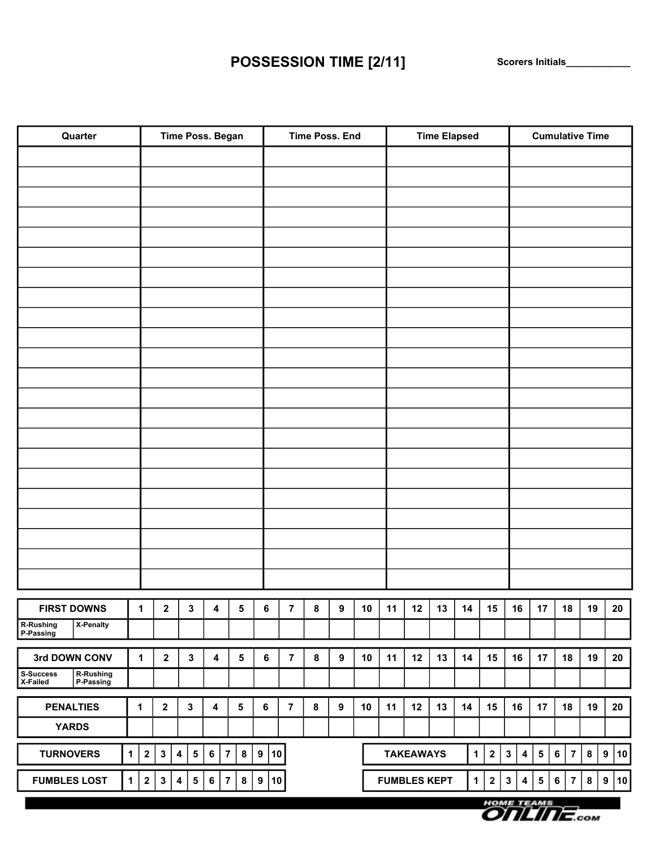# **POSSESSION TIME [2/11] Scorers Initials\_\_\_\_\_\_\_\_\_\_\_\_**

| Quarter                                                                                                                                              |             |              |             |                         | Time Poss. Began |         |                |           |                        |                |           | <b>Time Poss. End</b> |    |    |                     | <b>Time Elapsed</b> |             |                                 |    |                  |           | <b>Cumulative Time</b>             |                             |                  |    |
|------------------------------------------------------------------------------------------------------------------------------------------------------|-------------|--------------|-------------|-------------------------|------------------|---------|----------------|-----------|------------------------|----------------|-----------|-----------------------|----|----|---------------------|---------------------|-------------|---------------------------------|----|------------------|-----------|------------------------------------|-----------------------------|------------------|----|
|                                                                                                                                                      |             |              |             |                         |                  |         |                |           |                        |                |           |                       |    |    |                     |                     |             |                                 |    |                  |           |                                    |                             |                  |    |
|                                                                                                                                                      |             |              |             |                         |                  |         |                |           |                        |                |           |                       |    |    |                     |                     |             |                                 |    |                  |           |                                    |                             |                  |    |
|                                                                                                                                                      |             |              |             |                         |                  |         |                |           |                        |                |           |                       |    |    |                     |                     |             |                                 |    |                  |           |                                    |                             |                  |    |
|                                                                                                                                                      |             |              |             |                         |                  |         |                |           |                        |                |           |                       |    |    |                     |                     |             |                                 |    |                  |           |                                    |                             |                  |    |
|                                                                                                                                                      |             |              |             |                         |                  |         |                |           |                        |                |           |                       |    |    |                     |                     |             |                                 |    |                  |           |                                    |                             |                  |    |
|                                                                                                                                                      |             |              |             |                         |                  |         |                |           |                        |                |           |                       |    |    |                     |                     |             |                                 |    |                  |           |                                    |                             |                  |    |
|                                                                                                                                                      |             |              |             |                         |                  |         |                |           |                        |                |           |                       |    |    |                     |                     |             |                                 |    |                  |           |                                    |                             |                  |    |
|                                                                                                                                                      |             |              |             |                         |                  |         |                |           |                        |                |           |                       |    |    |                     |                     |             |                                 |    |                  |           |                                    |                             |                  |    |
|                                                                                                                                                      |             |              |             |                         |                  |         |                |           |                        |                |           |                       |    |    |                     |                     |             |                                 |    |                  |           |                                    |                             |                  |    |
|                                                                                                                                                      |             |              |             |                         |                  |         |                |           |                        |                |           |                       |    |    |                     |                     |             |                                 |    |                  |           |                                    |                             |                  |    |
|                                                                                                                                                      |             |              |             |                         |                  |         |                |           |                        |                |           |                       |    |    |                     |                     |             |                                 |    |                  |           |                                    |                             |                  |    |
|                                                                                                                                                      |             |              |             |                         |                  |         |                |           |                        |                |           |                       |    |    |                     |                     |             |                                 |    |                  |           |                                    |                             |                  |    |
|                                                                                                                                                      |             |              |             |                         |                  |         |                |           |                        |                |           |                       |    |    |                     |                     |             |                                 |    |                  |           |                                    |                             |                  |    |
|                                                                                                                                                      |             |              |             |                         |                  |         |                |           |                        |                |           |                       |    |    |                     |                     |             |                                 |    |                  |           |                                    |                             |                  |    |
|                                                                                                                                                      |             |              |             |                         |                  |         |                |           |                        |                |           |                       |    |    |                     |                     |             |                                 |    |                  |           |                                    |                             |                  |    |
|                                                                                                                                                      |             |              |             |                         |                  |         |                |           |                        |                |           |                       |    |    |                     |                     |             |                                 |    |                  |           |                                    |                             |                  |    |
|                                                                                                                                                      |             |              |             |                         |                  |         |                |           |                        |                |           |                       |    |    |                     |                     |             |                                 |    |                  |           |                                    |                             |                  |    |
|                                                                                                                                                      |             |              |             |                         |                  |         |                |           |                        |                |           |                       |    |    |                     |                     |             |                                 |    |                  |           |                                    |                             |                  |    |
|                                                                                                                                                      |             |              |             |                         |                  |         |                |           |                        |                |           |                       |    |    |                     |                     |             |                                 |    |                  |           |                                    |                             |                  |    |
|                                                                                                                                                      |             |              |             |                         |                  |         |                |           |                        |                |           |                       |    |    |                     |                     |             |                                 |    |                  |           |                                    |                             |                  |    |
|                                                                                                                                                      |             |              |             |                         |                  |         |                |           |                        |                |           |                       |    |    |                     |                     |             |                                 |    |                  |           |                                    |                             |                  |    |
| <b>FIRST DOWNS</b>                                                                                                                                   |             | $\mathbf{1}$ | $\mathbf 2$ |                         | 3                | 4       |                | 5         | 6                      | $\overline{7}$ | 8         | 9                     | 10 | 11 | 12                  | 13                  | 14          | 15                              |    | 16               | 17        | 18                                 | 19                          |                  | 20 |
| X-Penalty<br>R-Rushing<br>P-Passing                                                                                                                  |             |              |             |                         |                  |         |                |           |                        |                |           |                       |    |    |                     |                     |             |                                 |    |                  |           |                                    |                             |                  |    |
| 3rd DOWN CONV                                                                                                                                        |             |              | $\mathbf 2$ |                         | $\mathbf{3}$     | 4       |                |           | 6                      | $\overline{7}$ | $\pmb{8}$ | 9                     | 10 | 11 | 12                  | 13                  | 14          | 15                              |    | 16               | 17        | 18                                 |                             | 19               | 20 |
| $\mathbf{1}$<br>5<br><b>S-Success</b><br>R-Rushing<br>P-Passing<br>X-Failed                                                                          |             |              |             |                         |                  |         |                |           |                        |                |           |                       |    |    |                     |                     |             |                                 |    |                  |           |                                    |                             |                  |    |
| <b>PENALTIES</b><br>$\mathbf{1}$<br>$\mathbf 2$<br>$\mathbf 3$<br>$\overline{\mathbf{4}}$<br>5<br>6<br>$\overline{7}$<br>8<br>$\boldsymbol{9}$<br>10 |             |              |             |                         |                  |         |                |           |                        |                |           | 11                    | 12 | 13 | 14                  | 15                  |             | 16                              | 17 | 18               | 19        |                                    | 20                          |                  |    |
| <b>YARDS</b>                                                                                                                                         |             |              |             |                         |                  |         |                |           |                        |                |           |                       |    |    |                     |                     |             |                                 |    |                  |           |                                    |                             |                  |    |
| <b>TURNOVERS</b>                                                                                                                                     | 1           | $\mathbf 2$  | 3           | 4                       | 5                | $\bf 6$ | $\overline{7}$ | $\pmb{8}$ | 10<br>$\boldsymbol{9}$ |                |           |                       |    |    | <b>TAKEAWAYS</b>    |                     | 1           | $\mathbf 2$                     | 3  | 4                | ${\bf 5}$ | $\overline{\mathbf{7}}$<br>$\bf 6$ | $\pmb{8}$                   | $\boldsymbol{9}$ | 10 |
| <b>FUMBLES LOST</b>                                                                                                                                  | $\mathbf 1$ | 2            | 3           | $\overline{\mathbf{4}}$ | ${\bf 5}$        | 6       | $\overline{7}$ | $\bf8$    | 9<br>10                |                |           |                       |    |    | <b>FUMBLES KEPT</b> |                     | $\mathbf 1$ | $\boldsymbol{2}$                | 3  | $\boldsymbol{4}$ | ${\bf 5}$ | $\bf 6$                            | $\overline{7}$<br>$\pmb{8}$ | 9                | 10 |
|                                                                                                                                                      |             |              |             |                         |                  |         |                |           |                        |                |           |                       |    |    |                     |                     |             | HOME TEAMS<br><b>OnLine</b> com |    |                  |           |                                    |                             |                  |    |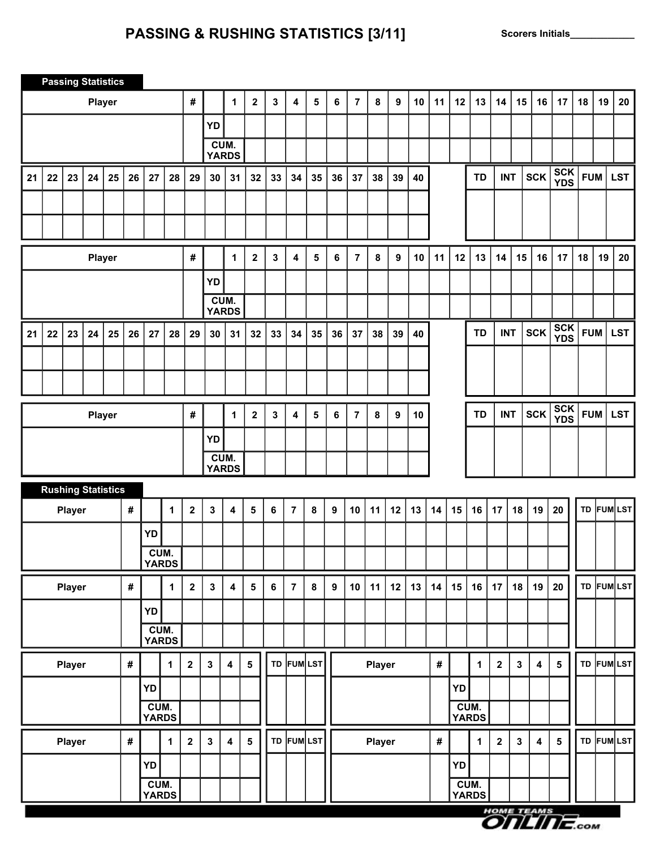## **PASSING & RUSHING STATISTICS [3/11] Scorers Initials\_\_\_\_\_\_\_\_\_\_\_\_**

|    |    |               | <b>Passing Statistics</b> |    |            |                      |              |                         |           |              |                  |    |                |    |    |                |               |    |    |            |    |                      |                         |    |                         |                           |            |    |            |
|----|----|---------------|---------------------------|----|------------|----------------------|--------------|-------------------------|-----------|--------------|------------------|----|----------------|----|----|----------------|---------------|----|----|------------|----|----------------------|-------------------------|----|-------------------------|---------------------------|------------|----|------------|
|    |    |               | <b>Player</b>             |    |            |                      |              | #                       |           | 1            | $\mathbf 2$      | 3  | 4              | 5  | 6  | $\overline{7}$ | 8             | 9  | 10 | 11         | 12 | 13                   | 14                      | 15 | 16                      | 17                        | 18         | 19 | 20         |
|    |    |               |                           |    |            |                      |              |                         | YD        |              |                  |    |                |    |    |                |               |    |    |            |    |                      |                         |    |                         |                           |            |    |            |
|    |    |               |                           |    |            |                      |              |                         | CUM.      | <b>YARDS</b> |                  |    |                |    |    |                |               |    |    |            |    |                      |                         |    |                         |                           |            |    |            |
| 21 | 22 | 23            | 24                        | 25 | 26         | 27                   | 28           | 29                      | 30        | 31           | 32               | 33 | 34             | 35 | 36 | 37             | 38            | 39 | 40 |            |    | <b>TD</b>            | <b>INT</b>              |    | <b>SCK</b>              | <b>SCK</b><br><b>YDS</b>  | <b>FUM</b> |    | <b>LST</b> |
|    |    |               |                           |    |            |                      |              |                         |           |              |                  |    |                |    |    |                |               |    |    |            |    |                      |                         |    |                         |                           |            |    |            |
|    |    |               |                           |    |            |                      |              |                         |           |              |                  |    |                |    |    |                |               |    |    |            |    |                      |                         |    |                         |                           |            |    |            |
|    |    |               | <b>Player</b>             |    |            |                      |              | $\pmb{\#}$              |           | 1            | $\mathbf 2$      | 3  | 4              | 5  | 6  | $\overline{7}$ | 8             | 9  | 10 | 11         | 12 | 13                   | 14                      | 15 | 16                      | 17                        | 18         | 19 | 20         |
|    |    |               |                           |    |            |                      |              |                         | YD        |              |                  |    |                |    |    |                |               |    |    |            |    |                      |                         |    |                         |                           |            |    |            |
|    |    |               |                           |    |            |                      |              |                         | CUM.      | <b>YARDS</b> |                  |    |                |    |    |                |               |    |    |            |    |                      |                         |    |                         |                           |            |    |            |
| 21 | 22 | 23            | 24                        | 25 | 26         | 27                   | 28           | 29                      | 30        | 31           | 32               | 33 | 34             | 35 | 36 | 37             | 38            | 39 | 40 |            |    | <b>TD</b>            | <b>INT</b>              |    | <b>SCK</b>              | <b>SCK</b><br><b>YDS</b>  | <b>FUM</b> |    | <b>LST</b> |
|    |    |               |                           |    |            |                      |              |                         |           |              |                  |    |                |    |    |                |               |    |    |            |    |                      |                         |    |                         |                           |            |    |            |
|    |    |               |                           |    |            |                      |              |                         |           |              |                  |    |                |    |    |                |               |    |    |            |    |                      |                         |    |                         |                           |            |    |            |
|    |    |               | <b>Player</b>             |    |            |                      |              | $\pmb{\#}$              |           | 1            | $\boldsymbol{2}$ | 3  | 4              | 5  | 6  | $\overline{7}$ | 8             | 9  | 10 |            |    | <b>TD</b>            | <b>INT</b>              |    | <b>SCK</b>              | <b>SCK</b>                | <b>FUM</b> |    | <b>LST</b> |
|    |    |               |                           |    |            |                      |              |                         | <b>YD</b> |              |                  |    |                |    |    |                |               |    |    |            |    |                      |                         |    |                         | <b>YDS</b>                |            |    |            |
|    |    |               |                           |    |            |                      |              |                         | CUM.      |              |                  |    |                |    |    |                |               |    |    |            |    |                      |                         |    |                         |                           |            |    |            |
|    |    |               | <b>Rushing Statistics</b> |    |            |                      |              |                         |           | <b>YARDS</b> |                  |    |                |    |    |                |               |    |    |            |    |                      |                         |    |                         |                           |            |    |            |
|    |    | <b>Player</b> |                           |    | $\pmb{\#}$ |                      | 1            | $\mathbf{2}$            | 3         | 4            | 5                | 6  | $\overline{7}$ | 8  | 9  | 10             | 11            | 12 | 13 | 14         | 15 | 16                   | 17                      | 18 | 19                      | 20                        |            |    | TD FUM LST |
|    |    |               |                           |    |            | YD                   |              |                         |           |              |                  |    |                |    |    |                |               |    |    |            |    |                      |                         |    |                         |                           |            |    |            |
|    |    |               |                           |    |            | <b>CUM.</b><br>YARDS |              |                         |           |              |                  |    |                |    |    |                |               |    |    |            |    |                      |                         |    |                         |                           |            |    |            |
|    |    | Player        |                           |    | $\#$       |                      | 1            | $\overline{\mathbf{2}}$ | 3         | 4            | 5                | 6  | $\overline{7}$ | 8  | 9  | 10             | 11            | 12 | 13 | 14         | 15 | 16                   | 17                      | 18 | 19                      | 20                        |            |    | TD FUM LST |
|    |    |               |                           |    |            | YD                   |              |                         |           |              |                  |    |                |    |    |                |               |    |    |            |    |                      |                         |    |                         |                           |            |    |            |
|    |    |               |                           |    |            | CUM.<br><b>YARDS</b> |              |                         |           |              |                  |    |                |    |    |                |               |    |    |            |    |                      |                         |    |                         |                           |            |    |            |
|    |    | <b>Player</b> |                           |    | $\#$       |                      | $\mathbf{1}$ | $\mathbf{2}$            | 3         | 4            | $5\phantom{a}$   |    | TD FUM LST     |    |    |                | <b>Player</b> |    |    | $\pmb{\#}$ |    | $\mathbf{1}$         | $\overline{\mathbf{2}}$ | 3  | 4                       | $\sqrt{5}$                |            |    | TD FUM LST |
|    |    |               |                           |    |            | YD                   |              |                         |           |              |                  |    |                |    |    |                |               |    |    |            | YD |                      |                         |    |                         |                           |            |    |            |
|    |    |               |                           |    |            | CUM.<br><b>YARDS</b> |              |                         |           |              |                  |    |                |    |    |                |               |    |    |            |    | CUM.<br><b>YARDS</b> |                         |    |                         |                           |            |    |            |
|    |    | Player        |                           |    | $\pmb{\#}$ |                      | $\mathbf{1}$ | $\overline{\mathbf{2}}$ | 3         | 4            | $5\phantom{a}$   |    | TD FUM LST     |    |    |                | Player        |    |    | $\pmb{\#}$ |    | 1                    | $\overline{\mathbf{2}}$ | 3  | $\overline{\mathbf{4}}$ | $5\phantom{1}$            |            |    | TD FUM LST |
|    |    |               |                           |    |            | YD                   |              |                         |           |              |                  |    |                |    |    |                |               |    |    |            | YD |                      |                         |    |                         |                           |            |    |            |
|    |    |               |                           |    |            | CUM.                 |              |                         |           |              |                  |    |                |    |    |                |               |    |    |            |    | CUM.                 |                         |    |                         |                           |            |    |            |
|    |    |               |                           |    |            | <b>YARDS</b>         |              |                         |           |              |                  |    |                |    |    |                |               |    |    |            |    | <b>YARDS</b>         |                         |    |                         |                           |            |    |            |
|    |    |               |                           |    |            |                      |              |                         |           |              |                  |    |                |    |    |                |               |    |    |            |    |                      |                         |    |                         | HOME TEAMS<br>On IT TICOM |            |    |            |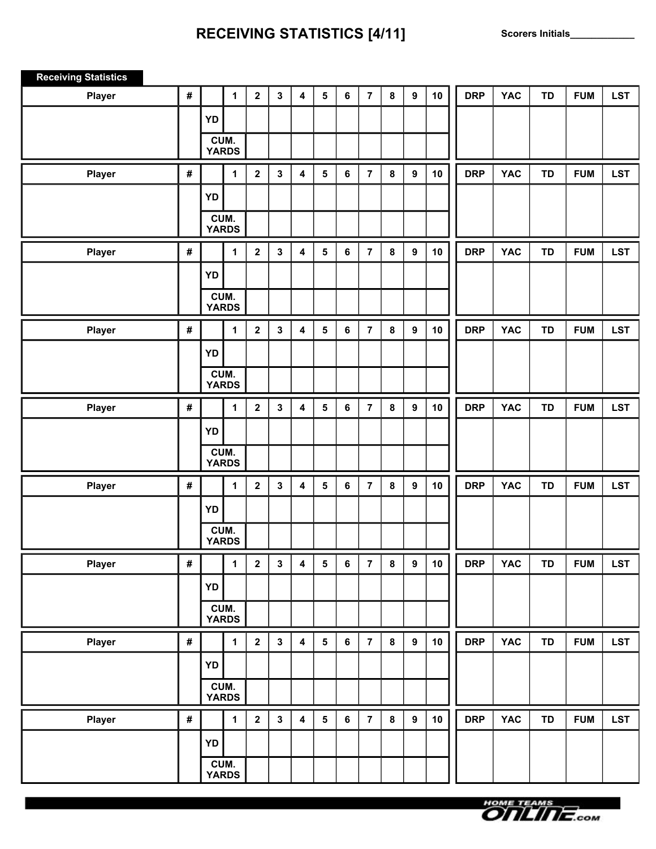## **RECEIVING STATISTICS [4/11] Scorers Initials\_\_\_\_\_\_\_\_\_\_\_\_**

| <b>Receiving Statistics</b> |            |    |                      |                         |             |                         |                |         |                |           |                  |    |            |            |           |            |            |
|-----------------------------|------------|----|----------------------|-------------------------|-------------|-------------------------|----------------|---------|----------------|-----------|------------------|----|------------|------------|-----------|------------|------------|
| <b>Player</b>               | $\pmb{\#}$ |    | $\mathbf 1$          | $\overline{2}$          | $\mathbf 3$ | $\overline{\mathbf{4}}$ | 5              | $\bf 6$ | $\overline{7}$ | 8         | $\boldsymbol{9}$ | 10 | <b>DRP</b> | <b>YAC</b> | TD        | <b>FUM</b> | <b>LST</b> |
|                             |            | YD |                      |                         |             |                         |                |         |                |           |                  |    |            |            |           |            |            |
|                             |            |    | CUM.<br><b>YARDS</b> |                         |             |                         |                |         |                |           |                  |    |            |            |           |            |            |
| <b>Player</b>               | $\pmb{\#}$ |    | $\mathbf 1$          | $\mathbf{2}$            | 3           | $\overline{\mathbf{4}}$ | 5              | $\bf 6$ | $\overline{7}$ | 8         | 9                | 10 | <b>DRP</b> | <b>YAC</b> | TD        | <b>FUM</b> | <b>LST</b> |
|                             |            | YD |                      |                         |             |                         |                |         |                |           |                  |    |            |            |           |            |            |
|                             |            |    | CUM.                 |                         |             |                         |                |         |                |           |                  |    |            |            |           |            |            |
|                             |            |    | <b>YARDS</b>         |                         |             |                         |                |         |                |           |                  |    |            |            |           |            |            |
| Player                      | $\pmb{\#}$ |    | $\mathbf{1}$         | $\mathbf{2}$            | $\mathbf 3$ | $\overline{\mathbf{4}}$ | $5\phantom{a}$ | $\bf 6$ | $\overline{7}$ | 8         | $\boldsymbol{9}$ | 10 | <b>DRP</b> | <b>YAC</b> | <b>TD</b> | <b>FUM</b> | <b>LST</b> |
|                             |            | YD |                      |                         |             |                         |                |         |                |           |                  |    |            |            |           |            |            |
|                             |            |    | CUM.<br><b>YARDS</b> |                         |             |                         |                |         |                |           |                  |    |            |            |           |            |            |
| <b>Player</b>               | $\pmb{\#}$ |    | $\mathbf{1}$         | $\overline{\mathbf{2}}$ | 3           | $\overline{\mathbf{4}}$ | $5\phantom{a}$ | $\bf 6$ | $\overline{7}$ | 8         | $\boldsymbol{9}$ | 10 | <b>DRP</b> | <b>YAC</b> | <b>TD</b> | <b>FUM</b> | <b>LST</b> |
|                             |            | YD |                      |                         |             |                         |                |         |                |           |                  |    |            |            |           |            |            |
|                             |            |    | CUM.                 |                         |             |                         |                |         |                |           |                  |    |            |            |           |            |            |
|                             |            |    | <b>YARDS</b>         |                         |             |                         |                |         |                |           |                  |    |            |            |           |            |            |
| Player                      | $\pmb{\#}$ |    | $\mathbf{1}$         | $\mathbf 2$             | 3           | $\overline{\mathbf{4}}$ | 5              | 6       | $\overline{7}$ | 8         | $\boldsymbol{9}$ | 10 | <b>DRP</b> | <b>YAC</b> | <b>TD</b> | <b>FUM</b> | <b>LST</b> |
|                             |            | YD |                      |                         |             |                         |                |         |                |           |                  |    |            |            |           |            |            |
|                             |            |    | CUM.<br><b>YARDS</b> |                         |             |                         |                |         |                |           |                  |    |            |            |           |            |            |
| <b>Player</b>               | $\#$       |    | $\mathbf{1}$         | $\mathbf 2$             | 3           | $\overline{\mathbf{4}}$ | 5              | $\bf 6$ | $\overline{7}$ | 8         | $\boldsymbol{9}$ | 10 | <b>DRP</b> | <b>YAC</b> | <b>TD</b> | <b>FUM</b> | <b>LST</b> |
|                             |            | YD |                      |                         |             |                         |                |         |                |           |                  |    |            |            |           |            |            |
|                             |            |    | CUM.                 |                         |             |                         |                |         |                |           |                  |    |            |            |           |            |            |
|                             |            |    | <b>YARDS</b>         |                         |             |                         |                |         |                |           |                  |    |            |            |           |            |            |
| Player                      | $\#$       |    | $\mathbf{1}$         | $\mathbf 2$             | 3           | $\overline{\mathbf{4}}$ | $5\phantom{a}$ | 6       | $\overline{7}$ | ${\bf 8}$ | 9                | 10 | <b>DRP</b> | <b>YAC</b> | <b>TD</b> | <b>FUM</b> | <b>LST</b> |
|                             |            | YD |                      |                         |             |                         |                |         |                |           |                  |    |            |            |           |            |            |
|                             |            |    | CUM.<br><b>YARDS</b> |                         |             |                         |                |         |                |           |                  |    |            |            |           |            |            |
| Player                      | $\#$       |    | $\mathbf{1}$         | $\mathbf{2}$            | $\mathbf 3$ | $\overline{\mathbf{4}}$ | 5              | $\bf 6$ | $\overline{7}$ | 8         | $\boldsymbol{9}$ | 10 | <b>DRP</b> | <b>YAC</b> | TD        | <b>FUM</b> | <b>LST</b> |
|                             |            | YD |                      |                         |             |                         |                |         |                |           |                  |    |            |            |           |            |            |
|                             |            |    | CUM.<br><b>YARDS</b> |                         |             |                         |                |         |                |           |                  |    |            |            |           |            |            |
| Player                      | #          |    | $\mathbf 1$          | $\overline{2}$          | $\mathbf 3$ | $\overline{\mathbf{4}}$ | 5              | 6       | $\overline{7}$ | 8         | 9                | 10 | <b>DRP</b> | <b>YAC</b> | TD        | <b>FUM</b> | <b>LST</b> |
|                             |            | YD |                      |                         |             |                         |                |         |                |           |                  |    |            |            |           |            |            |
|                             |            |    | CUM.<br><b>YARDS</b> |                         |             |                         |                |         |                |           |                  |    |            |            |           |            |            |
|                             |            |    |                      |                         |             |                         |                |         |                |           |                  |    |            |            |           |            |            |

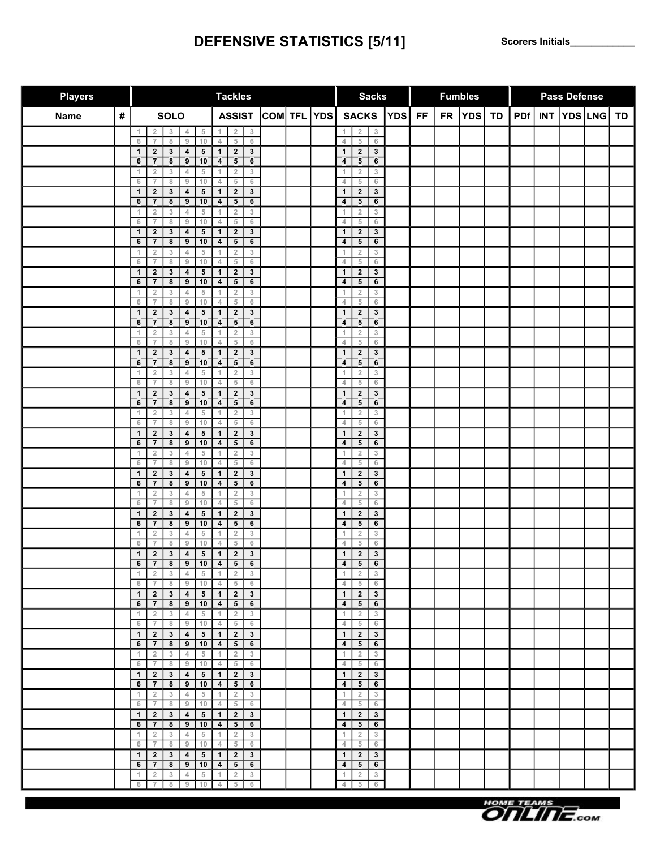# **DEFENSIVE STATISTICS [5/11] Scorers Initials\_\_\_\_\_\_\_\_\_\_\_\_**

| <b>Players</b> |   |                                                                                                                                                                      | <b>Tackles</b>                                                                                 |             | <b>Sacks</b>                                                                                    |            |           |           | <b>Fumbles</b> |           |            | <b>Pass Defense</b> |             |    |
|----------------|---|----------------------------------------------------------------------------------------------------------------------------------------------------------------------|------------------------------------------------------------------------------------------------|-------------|-------------------------------------------------------------------------------------------------|------------|-----------|-----------|----------------|-----------|------------|---------------------|-------------|----|
| <b>Name</b>    | # | <b>SOLO</b>                                                                                                                                                          | <b>ASSIST</b>                                                                                  | COM TFL YDS | <b>SACKS</b>                                                                                    | <b>YDS</b> | <b>FF</b> | <b>FR</b> | <b>YDS</b>     | <b>TD</b> | <b>PDf</b> |                     | INT YDS LNG | TD |
|                |   | $\sqrt{3}$<br>$\,$ 5<br>$\overline{2}$<br>4<br>1<br>$\overline{7}$<br>$_{8}$<br>$\overline{9}$<br>10<br>$\,$ 6                                                       | $\overline{2}$<br>1<br>3<br>$\overline{4}$<br>$\sqrt{5}$<br>6                                  |             | $\overline{\mathbf{c}}$<br>3<br>1<br>$\overline{5}$<br>6<br>4                                   |            |           |           |                |           |            |                     |             |    |
|                |   | $\mathbf{2}$<br>$\mathbf{3}$<br>$\overline{\mathbf{4}}$<br>$5\phantom{.0}$<br>$\mathbf{1}$<br>$\overline{\mathbf{8}}$<br>$\overline{9}$<br>10<br>6<br>$\overline{7}$ | $\mathbf{2}$<br>$\mathbf{1}$<br>$\mathbf{3}$<br>$\overline{4}$<br>$\overline{\mathbf{5}}$<br>6 |             | $\mathbf{2}$<br>$\mathbf 3$<br>$\mathbf{1}$<br>$5^{\circ}$<br>6<br>$\overline{\mathbf{4}}$      |            |           |           |                |           |            |                     |             |    |
|                |   | $\sqrt{5}$<br>$\overline{2}$<br>3<br>4<br>1                                                                                                                          | $\overline{2}$<br>3<br>1                                                                       |             | $\overline{2}$<br>3<br>1                                                                        |            |           |           |                |           |            |                     |             |    |
|                |   | $\,$ 6<br>8<br>$9\,$<br>10<br>$\overline{7}$<br>$\mathbf 2$<br>$\mathbf 3$<br>${\bf 5}$<br>$\mathbf{1}$<br>$\overline{\mathbf{4}}$                                   | $\sqrt{5}$<br>$\sqrt{6}$<br>4<br>$\mathbf 2$<br>$\mathbf{1}$<br>$\mathbf 3$                    |             | 4<br>$\sqrt{5}$<br>6<br>$\mathbf{2}$<br>$\mathbf 3$<br>$\mathbf 1$                              |            |           |           |                |           |            |                     |             |    |
|                |   | 6<br>7<br>$\overline{\mathbf{8}}$<br>$\overline{9}$<br>10<br>$\overline{2}$<br>$\sqrt{3}$<br>4<br>$\sqrt{5}$<br>1                                                    | $\overline{4}$<br>$\overline{\mathbf{5}}$<br>6<br>1<br>$\overline{2}$<br>3                     |             | $5^{\circ}$<br>6<br>$\overline{\mathbf{4}}$<br>$\sqrt{2}$<br>3<br>1                             |            |           |           |                |           |            |                     |             |    |
|                |   | $6\phantom{a}$<br>$\sqrt{8}$<br>$9\,$<br>10<br>7<br>$\mathbf 2$<br>$\mathbf 3$<br>$\overline{\mathbf{4}}$<br>$5\phantom{.0}$<br>$\mathbf{1}$                         | $\sqrt{5}$<br>$6\,$<br>4<br>$\mathbf{1}$<br>$\mathbf 2$<br>$\mathbf 3$                         |             | $\overline{4}$<br>5<br>$_{6}$<br>$\mathbf{2}$<br>$\mathbf 3$<br>$\mathbf{1}$                    |            |           |           |                |           |            |                     |             |    |
|                |   | $\overline{\mathbf{8}}$<br>$\overline{9}$<br>$\overline{10}$<br>6<br>$\overline{7}$<br>1<br>$\overline{2}$<br>3<br>4<br>5                                            | $5^{\circ}$<br>6<br>$\overline{\mathbf{4}}$<br>$\overline{2}$<br>1<br>3                        |             | $\overline{5}$<br>6<br>$\overline{\mathbf{4}}$<br>1<br>$\overline{2}$<br>3                      |            |           |           |                |           |            |                     |             |    |
|                |   | $\overline{9}$<br>10<br>$\,$ 8 $\,$<br>6<br>$\overline{7}$<br>$\mathbf 2$<br>$\mathbf 3$<br>${\bf 5}$<br>$\mathbf{1}$<br>$\overline{\mathbf{4}}$                     | $\sqrt{6}$<br>$\sqrt{5}$<br>$\sqrt{4}$<br>$\mathbf{1}$<br>$\mathbf{2}$<br>$\mathbf 3$          |             | $_{6}$<br>$\,$ 5<br>4<br>$\mathbf{2}$<br>$\mathbf{1}$<br>$\mathbf{3}$                           |            |           |           |                |           |            |                     |             |    |
|                |   | 7<br>$\overline{\mathbf{8}}$<br>$\overline{9}$<br>10<br>6<br>$\,$ 5 $\,$<br>$\overline{2}$<br>$\ensuremath{\mathsf{3}}$<br>1<br>4                                    | $\overline{5}$<br>$\overline{4}$<br>6<br>$\sqrt{2}$<br>3<br>1.                                 |             | $5^{\circ}$<br>6<br>$\overline{\mathbf{4}}$<br>$\overline{2}$<br>3<br>1                         |            |           |           |                |           |            |                     |             |    |
|                |   | $\sqrt{8}$<br>$\overline{9}$<br>10<br>$\,$ 6<br>$\overline{7}$<br>$\mathbf{2}$<br>$\mathbf{3}$<br>$\overline{\mathbf{4}}$<br>$5\phantom{.0}$<br>$\mathbf{1}$         | $\sqrt{5}$<br>$\sqrt{6}$<br>4<br>$\mathbf{2}$<br>$\mathbf{1}$<br>$\mathbf{3}$                  |             | $\sqrt{5}$<br>4<br>6<br>$\mathbf{2}$<br>$\mathbf{3}$<br>$\mathbf{1}$                            |            |           |           |                |           |            |                     |             |    |
|                |   | $\overline{\mathbf{8}}$<br>$\overline{9}$<br>10<br>6<br>$\overline{7}$                                                                                               | $5^{\circ}$<br>6<br>$\overline{\mathbf{4}}$                                                    |             | 5<br>6<br>$\overline{\mathbf{4}}$                                                               |            |           |           |                |           |            |                     |             |    |
|                |   | $\sqrt{5}$<br>$\overline{2}$<br>3<br>4<br>1<br>$9$<br>$\,$ 6<br>8<br>10<br>$\overline{7}$                                                                            | $\overline{2}$<br>3<br>1<br>$\sqrt{5}$<br>$\sqrt{6}$<br>4                                      |             | $_{3}$<br>$\overline{2}$<br>1<br>$_{6}$<br>4<br>$\,$ 5                                          |            |           |           |                |           |            |                     |             |    |
|                |   | $\mathbf{2}$<br>$\mathbf 3$<br>${\bf 5}$<br>$\mathbf{1}$<br>$\overline{\mathbf{4}}$<br>6<br>7<br>$\overline{\mathbf{8}}$<br>$\overline{9}$<br>10                     | $\mathbf 2$<br>$\mathbf{1}$<br>$\mathbf 3$<br>$\overline{4}$<br>$\overline{\mathbf{5}}$<br>6   |             | $\mathbf{2}$<br>$\mathbf 3$<br>$\mathbf{1}$<br>$5^{\circ}$<br>6<br>$\overline{\mathbf{4}}$      |            |           |           |                |           |            |                     |             |    |
|                |   | $\ensuremath{\mathsf{3}}$<br>$\,$ 5 $\,$<br>$\sqrt{2}$<br>4<br>1<br>$\,$ 8 $\,$<br>$6\phantom{a}$<br>$\overline{9}$<br>10<br>$\overline{7}$                          | $\overline{2}$<br>1<br>3<br>$\sqrt{5}$<br>$\sqrt{6}$<br>$\overline{4}$                         |             | $\overline{2}$<br>3<br>1<br>5<br>$\overline{4}$<br>$_{6}$                                       |            |           |           |                |           |            |                     |             |    |
|                |   | $\mathbf{2}$<br>$\mathbf{3}$<br>$\overline{\mathbf{4}}$<br>$5\phantom{.0}$<br>$\mathbf{1}$<br>7<br>$\overline{\mathbf{8}}$<br>$\overline{9}$<br>10<br>6              | $\mathbf{1}$<br>$\mathbf{2}$<br>$\mathbf 3$<br>$\overline{5}$<br>6<br>$\overline{4}$           |             | $\overline{2}$<br>$\mathbf 3$<br>$\mathbf{1}$<br>$\overline{5}$<br>6<br>$\overline{\mathbf{4}}$ |            |           |           |                |           |            |                     |             |    |
|                |   | $\sqrt{3}$<br>$\sqrt{4}$<br>$\sqrt{5}$<br>1<br>$\overline{2}$<br>$\overline{9}$<br>10<br>$\,$ 6<br>$\,$ 8 $\,$<br>$\overline{7}$                                     | $\overline{2}$<br>$_{3}$<br>1<br>$\sqrt{5}$<br>$\sqrt{6}$<br>4                                 |             | $\sqrt{2}$<br>1<br>3<br>$\sqrt{5}$<br>6<br>4                                                    |            |           |           |                |           |            |                     |             |    |
|                |   | $\mathbf 2$<br>$\mathbf 3$<br>${\bf 5}$<br>$\mathbf{1}$<br>$\overline{\mathbf{4}}$<br>$^{-}7$<br>$\overline{\mathbf{8}}$<br>$\overline{9}$<br>10<br>6                | $\mathbf{1}$<br>$\mathbf{2}$<br>3<br>$\overline{\mathbf{5}}$<br>6<br>$\overline{4}$            |             | $\boldsymbol{2}$<br>$\mathbf{1}$<br>3<br>$5^{\circ}$<br>6<br>$\overline{\mathbf{4}}$            |            |           |           |                |           |            |                     |             |    |
|                |   | $\sqrt{2}$<br>$\ensuremath{\mathsf{3}}$<br>$\sqrt{5}$<br>$\overline{4}$<br>1<br>$\sqrt{8}$<br>$\overline{9}$<br>10<br>$\,$ 6<br>$\overline{7}$                       | $\sqrt{2}$<br>1<br>3<br>$\sqrt{5}$<br>6<br>4                                                   |             | $\overline{2}$<br>3<br>1<br>$\sqrt{5}$<br>4<br>6                                                |            |           |           |                |           |            |                     |             |    |
|                |   | $\pmb{4}$<br>$\mathbf{2}$<br>$\mathbf{3}$<br>${\bf 5}$<br>$\mathbf{1}$<br>$\overline{\mathbf{8}}$<br>$\overline{9}$<br>10<br>6<br>$\overline{7}$                     | $\mathbf 2$<br>$\mathbf{1}$<br>$\mathbf{3}$<br>$\overline{4}$<br>$5^{\circ}$<br>6              |             | $\mathbf{2}$<br>$\mathbf 3$<br>$\mathbf{1}$<br>5<br>6<br>$\overline{\mathbf{4}}$                |            |           |           |                |           |            |                     |             |    |
|                |   | $\mathbf{3}$<br>$\sqrt{5}$<br>$\overline{2}$<br>4<br>1<br>10<br>$\,$ 6<br>8<br>$9\,$<br>$\overline{7}$                                                               | $\overline{2}$<br>3<br>1<br>$\sqrt{5}$<br>$\sqrt{6}$<br>4                                      |             | $_{3}$<br>$\overline{2}$<br>1<br>$_{6}$<br>4<br>$\,$ 5                                          |            |           |           |                |           |            |                     |             |    |
|                |   | $\mathbf 2$<br>$\mathbf 3$<br>$\overline{\mathbf{4}}$<br>${\bf 5}$<br>$\mathbf{1}$<br>6<br>7<br>$\overline{\mathbf{8}}$<br>$\overline{9}$<br>10                      | $\mathbf 2$<br>$\mathbf{1}$<br>$\mathbf 3$<br>$\overline{4}$<br>$5^{\circ}$<br>6               |             | $\boldsymbol{2}$<br>$\mathbf 3$<br>$\mathbf{1}$<br>$5^{\circ}$<br>6<br>$\overline{\mathbf{4}}$  |            |           |           |                |           |            |                     |             |    |
|                |   | $\sqrt{2}$<br>$\ensuremath{\mathsf{3}}$<br>$\sqrt{5}$<br>1<br>4<br>6<br>$\bf 8$<br>10<br>$\overline{7}$                                                              | $\overline{2}$<br>1.<br>3<br>$\sqrt{5}$<br>$6\,$<br>4                                          |             | $\overline{2}$<br>3<br>1<br>$\overline{4}$<br>5<br>$_{6}$                                       |            |           |           |                |           |            |                     |             |    |
|                |   | $\,9$<br>$\mathbf{2}$<br>$\mathbf 3$<br>$\overline{\mathbf{4}}$<br>${\bf 5}$<br>$\mathbf{1}$                                                                         | $\mathbf 2$<br>$\mathbf 3$<br>$\mathbf{1}$                                                     |             | $\mathbf{2}$<br>$\mathbf 3$<br>$\mathbf{1}$                                                     |            |           |           |                |           |            |                     |             |    |
|                |   | 6<br>7<br>$\bf{8}$<br>9<br>10<br>1<br>$\overline{2}$<br>3<br>4<br>5                                                                                                  | $\overline{5}$<br>$\overline{6}$<br>$\overline{\mathbf{4}}$<br>-1<br>$\overline{2}$<br>3       |             | $\overline{5}$<br>$\overline{6}$<br>$\overline{4}$<br>$\overline{2}$<br>3<br>1                  |            |           |           |                |           |            |                     |             |    |
|                |   | 6<br>8<br>9<br>10<br>7<br>$\mathbf{1}$<br>$\mathbf{2}$<br>$\mathbf{3}$<br>$5\phantom{.0}$<br>4                                                                       | 4<br>5<br>6<br>$\mathbf{2}$<br>$\mathbf{1}$<br>3                                               |             | 4<br>5<br>6<br>$\mathbf{2}$<br>$\mathbf{1}$<br>$\mathbf{3}$                                     |            |           |           |                |           |            |                     |             |    |
|                |   | $\overline{7}$<br>8<br>9<br>10<br>6<br>1<br>$\overline{2}$<br>3<br>4<br>5                                                                                            | $5\phantom{.0}$<br>6<br>$\overline{\mathbf{4}}$<br>$\overline{2}$<br>3<br>$\mathbf{1}$         |             | 5 <sub>5</sub><br>6<br>$\overline{4}$<br>$\overline{2}$<br>3<br>1                               |            |           |           |                |           |            |                     |             |    |
|                |   | 6<br>$\overline{7}$<br>8<br>9<br>10<br>$\overline{2}$<br>$\mathbf{3}$<br>$\overline{\mathbf{4}}$<br>$5\phantom{.0}$<br>$\mathbf{1}$                                  | 5<br>4<br>6<br>$\mathbf{2}$<br>$\mathbf{1}$<br>$\mathbf{3}$                                    |             | $\sqrt{5}$<br>6<br>4<br>$\mathbf{2}$<br>$\mathbf{3}$<br>1                                       |            |           |           |                |           |            |                     |             |    |
|                |   | $\overline{\mathbf{8}}$<br>9<br>10<br>6<br>$\overline{7}$<br>3<br>5<br>1<br>$\overline{2}$<br>4                                                                      | 5 <sub>5</sub><br>6<br>$\overline{\mathbf{4}}$<br>$\overline{2}$<br>$3 -$<br>$\mathbf{1}$      |             | 5 <sub>5</sub><br>6<br>$\overline{4}$<br>$\overline{2}$<br>3<br>1                               |            |           |           |                |           |            |                     |             |    |
|                |   | 6<br>$\overline{7}$<br>8<br>9<br>10<br>$\mathbf{1}$<br>$\mathbf{2}$<br>$\mathbf{3}$<br>$5\phantom{.0}$<br>$\overline{\mathbf{4}}$                                    | 4<br>5<br>6<br>$\mathbf{1}$<br>$\mathbf{2}$<br>3                                               |             | 6<br>4<br>5<br>$\mathbf{2}$<br>$\mathbf{3}$<br>$\mathbf{1}$                                     |            |           |           |                |           |            |                     |             |    |
|                |   | 6<br>$\overline{7}$<br>$\overline{\mathbf{8}}$<br>$9^-$<br>10<br>1<br>$\overline{2}$<br>3<br>4<br>5                                                                  | $5^{\circ}$<br>6<br>$\overline{4}$<br>1.<br>$\overline{2}$<br>3                                |             | 5 <sub>5</sub><br>6<br>4<br>$\overline{2}$<br>3<br>1                                            |            |           |           |                |           |            |                     |             |    |
|                |   | 6<br>$\overline{7}$<br>8<br>9<br>10<br>$\mathbf{1}$<br>$\mathbf{2}$<br>$\mathbf{3}$<br>$\overline{\mathbf{4}}$<br>$5\phantom{.0}$                                    | 5<br>6<br>4<br>$\mathbf{1}$<br>$\mathbf{2}$<br>3                                               |             | 4<br>$\,$ 5<br>6<br>$\mathbf{2}$<br>$\mathbf{3}$<br>$\mathbf{1}$                                |            |           |           |                |           |            |                     |             |    |
|                |   | 6<br>$\overline{7}$<br>8<br>9<br>10<br>5                                                                                                                             | $5\phantom{.0}$<br>6<br>$\overline{4}$<br>$\overline{2}$<br>3                                  |             | $5\phantom{.0}$<br>6<br>4                                                                       |            |           |           |                |           |            |                     |             |    |
|                |   | 1<br>$\overline{2}$<br>3<br>4<br>6<br>$\overline{7}$<br>8<br>9<br>10                                                                                                 | $\mathbf{1}$<br>5<br>6<br>4                                                                    |             | $\overline{2}$<br>1<br>3<br>6<br>4<br>5                                                         |            |           |           |                |           |            |                     |             |    |
|                |   | $\mathbf{1}$<br>$\overline{2}$<br>$\mathbf{3}$<br>5<br>4<br>$\overline{7}$<br>9<br>6<br>8<br>10                                                                      | $\mathbf{2}$<br>$\mathbf{1}$<br>3<br>$5\phantom{.0}$<br>6<br>$\overline{\mathbf{4}}$           |             | $\mathbf{2}$<br>$\mathbf{1}$<br>$\mathbf{3}$<br>6<br>$5^{\circ}$<br>4                           |            |           |           |                |           |            |                     |             |    |
|                |   | 1<br>$\overline{2}$<br>3<br>5<br>4<br>6<br>8<br>9<br>10<br>7                                                                                                         | $\overline{2}$<br>1.<br>3<br>5<br>6<br>4                                                       |             | $\overline{2}$<br>1<br>3<br>4<br>5<br>6                                                         |            |           |           |                |           |            |                     |             |    |

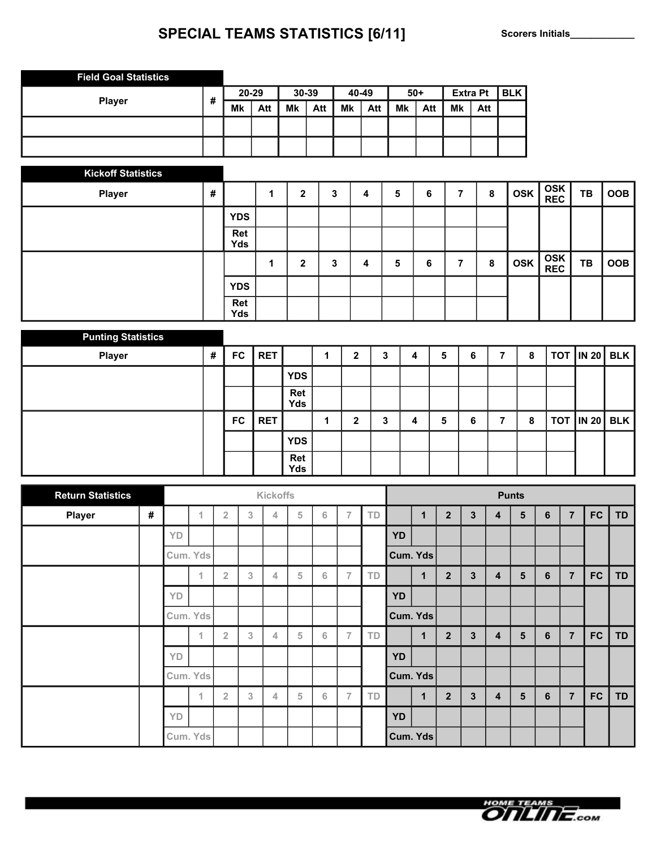## SPECIAL TEAMS STATISTICS [6/11] Scorers Initials\_\_\_\_\_\_\_\_\_\_\_\_\_\_\_\_\_\_\_\_\_\_\_\_\_\_\_\_\_\_\_\_

| <b>Field Goal Statistics</b> |   |           |     |    |       |       |     |       |     |    |                 |            |
|------------------------------|---|-----------|-----|----|-------|-------|-----|-------|-----|----|-----------------|------------|
|                              |   | $20 - 29$ |     |    | 30-39 | 40-49 |     | $50+$ |     |    | <b>Extra Pt</b> | <b>BLK</b> |
| <b>Player</b>                | # | Mk        | Att | Mk | Att   | Mk    | Att | Mk    | Att | Mk | Att             |            |
|                              |   |           |     |    |       |       |     |       |     |    |                 |            |
|                              |   |           |     |    |       |       |     |       |     |    |                 |            |

| <b>Kickoff Statistics</b> |   |            |              |   |   |   |   |   |            |                          |    |            |
|---------------------------|---|------------|--------------|---|---|---|---|---|------------|--------------------------|----|------------|
| <b>Player</b>             | # |            | $\mathbf{2}$ | 3 | 4 | 5 | 6 | 8 | <b>OSK</b> | <b>OSK</b><br><b>REC</b> | TB | <b>OOB</b> |
|                           |   | <b>YDS</b> |              |   |   |   |   |   |            |                          |    |            |
|                           |   | Ret<br>Yds |              |   |   |   |   |   |            |                          |    |            |
|                           |   |            | $\mathbf{2}$ | 3 | 4 | 5 | 6 | 8 | <b>OSK</b> | <b>OSK</b><br><b>REC</b> | TB | <b>OOB</b> |
|                           |   | <b>YDS</b> |              |   |   |   |   |   |            |                          |    |            |
|                           |   | Ret<br>Yds |              |   |   |   |   |   |            |                          |    |            |

| <b>Punting Statistics</b> |   |           |            |            |              |   |   |   |   |    |   |  |                            |
|---------------------------|---|-----------|------------|------------|--------------|---|---|---|---|----|---|--|----------------------------|
| <b>Player</b>             | # | FC.       | <b>RET</b> |            | 2            | 3 | 4 | 5 | 6 | ۰, | 8 |  | <b>TOT   IN 20   BLK  </b> |
|                           |   |           |            | <b>YDS</b> |              |   |   |   |   |    |   |  |                            |
|                           |   |           |            | Ret<br>Yds |              |   |   |   |   |    |   |  |                            |
|                           |   | <b>FC</b> | <b>RET</b> |            | $\mathbf{2}$ | 3 | 4 | 5 | 6 | 7  | 8 |  | <b>TOT   IN 20   BLK</b>   |
|                           |   |           |            | <b>YDS</b> |              |   |   |   |   |    |   |  |                            |
|                           |   |           |            | Ret<br>Yds |              |   |   |   |   |    |   |  |                            |

| <b>Return Statistics</b> |   |    |                |                |   | <b>Kickoffs</b> |   |   |                |           |           |              |                |   |   | <b>Punts</b> |   |                |           |           |
|--------------------------|---|----|----------------|----------------|---|-----------------|---|---|----------------|-----------|-----------|--------------|----------------|---|---|--------------|---|----------------|-----------|-----------|
| Player                   | # |    | $\overline{A}$ | $\overline{2}$ | 3 | 4               | 5 | 6 | $\overline{7}$ | TD        |           | 1            | $\overline{2}$ | 3 | 4 | 5            | 6 | $\overline{7}$ | <b>FC</b> | <b>TD</b> |
|                          |   | YD |                |                |   |                 |   |   |                |           | <b>YD</b> |              |                |   |   |              |   |                |           |           |
|                          |   |    | Cum. Yds       |                |   |                 |   |   |                |           |           | Cum. Yds     |                |   |   |              |   |                |           |           |
|                          |   |    | $\overline{A}$ | $\overline{2}$ | 3 | 4               | 5 | 6 | $\overline{7}$ | TD        |           | $\mathbf{1}$ | $\overline{2}$ | 3 | 4 | 5            | 6 | $\overline{7}$ | <b>FC</b> | TD        |
|                          |   | YD |                |                |   |                 |   |   |                |           | <b>YD</b> |              |                |   |   |              |   |                |           |           |
|                          |   |    | Cum. Yds       |                |   |                 |   |   |                |           |           | Cum. Yds     |                |   |   |              |   |                |           |           |
|                          |   |    | $\overline{A}$ | $\overline{2}$ | 3 | 4               | 5 | 6 | $\overline{7}$ | <b>TD</b> |           | $\mathbf{1}$ | $\overline{2}$ | 3 | 4 | 5            | 6 | $\overline{7}$ | <b>FC</b> | <b>TD</b> |
|                          |   | YD |                |                |   |                 |   |   |                |           | <b>YD</b> |              |                |   |   |              |   |                |           |           |
|                          |   |    | Cum. Yds       |                |   |                 |   |   |                |           |           | Cum. Yds     |                |   |   |              |   |                |           |           |
|                          |   |    | $\overline{A}$ | $\overline{2}$ | 3 | 4               | 5 | 6 | $\overline{7}$ | TD        |           | 1            | $\overline{2}$ | 3 | 4 | 5            | 6 | $\overline{7}$ | <b>FC</b> | <b>TD</b> |
|                          |   | YD |                |                |   |                 |   |   |                |           | <b>YD</b> |              |                |   |   |              |   |                |           |           |
|                          |   |    | Cum. Yds       |                |   |                 |   |   |                |           |           | Cum. Yds     |                |   |   |              |   |                |           |           |

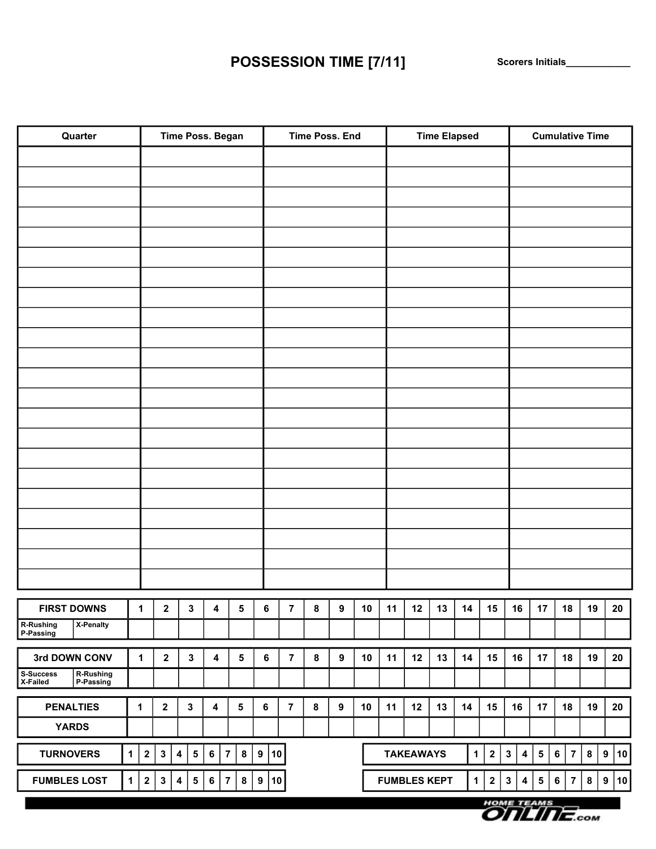# **POSSESSION TIME [7/11] Scorers Initials\_\_\_\_\_\_\_\_\_\_\_\_**

| Quarter                                                                                                                                              |             |              |             |                         | Time Poss. Began |         |                |           |                        |                |           | <b>Time Poss. End</b> |    |    |                     | <b>Time Elapsed</b> |             |                                 |    |                         |           | <b>Cumulative Time</b>             |                             |                  |    |
|------------------------------------------------------------------------------------------------------------------------------------------------------|-------------|--------------|-------------|-------------------------|------------------|---------|----------------|-----------|------------------------|----------------|-----------|-----------------------|----|----|---------------------|---------------------|-------------|---------------------------------|----|-------------------------|-----------|------------------------------------|-----------------------------|------------------|----|
|                                                                                                                                                      |             |              |             |                         |                  |         |                |           |                        |                |           |                       |    |    |                     |                     |             |                                 |    |                         |           |                                    |                             |                  |    |
|                                                                                                                                                      |             |              |             |                         |                  |         |                |           |                        |                |           |                       |    |    |                     |                     |             |                                 |    |                         |           |                                    |                             |                  |    |
|                                                                                                                                                      |             |              |             |                         |                  |         |                |           |                        |                |           |                       |    |    |                     |                     |             |                                 |    |                         |           |                                    |                             |                  |    |
|                                                                                                                                                      |             |              |             |                         |                  |         |                |           |                        |                |           |                       |    |    |                     |                     |             |                                 |    |                         |           |                                    |                             |                  |    |
|                                                                                                                                                      |             |              |             |                         |                  |         |                |           |                        |                |           |                       |    |    |                     |                     |             |                                 |    |                         |           |                                    |                             |                  |    |
|                                                                                                                                                      |             |              |             |                         |                  |         |                |           |                        |                |           |                       |    |    |                     |                     |             |                                 |    |                         |           |                                    |                             |                  |    |
|                                                                                                                                                      |             |              |             |                         |                  |         |                |           |                        |                |           |                       |    |    |                     |                     |             |                                 |    |                         |           |                                    |                             |                  |    |
|                                                                                                                                                      |             |              |             |                         |                  |         |                |           |                        |                |           |                       |    |    |                     |                     |             |                                 |    |                         |           |                                    |                             |                  |    |
|                                                                                                                                                      |             |              |             |                         |                  |         |                |           |                        |                |           |                       |    |    |                     |                     |             |                                 |    |                         |           |                                    |                             |                  |    |
|                                                                                                                                                      |             |              |             |                         |                  |         |                |           |                        |                |           |                       |    |    |                     |                     |             |                                 |    |                         |           |                                    |                             |                  |    |
|                                                                                                                                                      |             |              |             |                         |                  |         |                |           |                        |                |           |                       |    |    |                     |                     |             |                                 |    |                         |           |                                    |                             |                  |    |
|                                                                                                                                                      |             |              |             |                         |                  |         |                |           |                        |                |           |                       |    |    |                     |                     |             |                                 |    |                         |           |                                    |                             |                  |    |
|                                                                                                                                                      |             |              |             |                         |                  |         |                |           |                        |                |           |                       |    |    |                     |                     |             |                                 |    |                         |           |                                    |                             |                  |    |
|                                                                                                                                                      |             |              |             |                         |                  |         |                |           |                        |                |           |                       |    |    |                     |                     |             |                                 |    |                         |           |                                    |                             |                  |    |
|                                                                                                                                                      |             |              |             |                         |                  |         |                |           |                        |                |           |                       |    |    |                     |                     |             |                                 |    |                         |           |                                    |                             |                  |    |
|                                                                                                                                                      |             |              |             |                         |                  |         |                |           |                        |                |           |                       |    |    |                     |                     |             |                                 |    |                         |           |                                    |                             |                  |    |
|                                                                                                                                                      |             |              |             |                         |                  |         |                |           |                        |                |           |                       |    |    |                     |                     |             |                                 |    |                         |           |                                    |                             |                  |    |
|                                                                                                                                                      |             |              |             |                         |                  |         |                |           |                        |                |           |                       |    |    |                     |                     |             |                                 |    |                         |           |                                    |                             |                  |    |
|                                                                                                                                                      |             |              |             |                         |                  |         |                |           |                        |                |           |                       |    |    |                     |                     |             |                                 |    |                         |           |                                    |                             |                  |    |
|                                                                                                                                                      |             |              |             |                         |                  |         |                |           |                        |                |           |                       |    |    |                     |                     |             |                                 |    |                         |           |                                    |                             |                  |    |
|                                                                                                                                                      |             |              |             |                         |                  |         |                |           |                        |                |           |                       |    |    |                     |                     |             |                                 |    |                         |           |                                    |                             |                  |    |
| <b>FIRST DOWNS</b>                                                                                                                                   |             | $\mathbf{1}$ | $\mathbf 2$ |                         | 3                | 4       |                | 5         | 6                      | $\overline{7}$ | 8         | 9                     | 10 | 11 | 12                  | 13                  | 14          | 15                              |    | 16                      | 17        | 18                                 | 19                          |                  | 20 |
| X-Penalty<br>R-Rushing<br>P-Passing                                                                                                                  |             |              |             |                         |                  |         |                |           |                        |                |           |                       |    |    |                     |                     |             |                                 |    |                         |           |                                    |                             |                  |    |
| 3rd DOWN CONV                                                                                                                                        |             |              | $\mathbf 2$ |                         | $\mathbf{3}$     | 4       |                |           | 6                      | $\overline{7}$ | $\pmb{8}$ | 9                     | 10 | 11 | 12                  | 13                  | 14          | 15                              |    | 16                      | 17        | 18                                 |                             | 19               | 20 |
| $\mathbf{1}$<br>5<br><b>S-Success</b><br>R-Rushing<br>P-Passing<br>X-Failed                                                                          |             |              |             |                         |                  |         |                |           |                        |                |           |                       |    |    |                     |                     |             |                                 |    |                         |           |                                    |                             |                  |    |
| <b>PENALTIES</b><br>$\mathbf{1}$<br>$\mathbf 2$<br>$\mathbf 3$<br>$\overline{\mathbf{4}}$<br>5<br>6<br>$\overline{7}$<br>8<br>$\boldsymbol{9}$<br>10 |             |              |             |                         |                  |         |                |           |                        |                |           | 11                    | 12 | 13 | 14                  | 15                  |             | 16                              | 17 | 18                      | 19        |                                    | 20                          |                  |    |
| <b>YARDS</b>                                                                                                                                         |             |              |             |                         |                  |         |                |           |                        |                |           |                       |    |    |                     |                     |             |                                 |    |                         |           |                                    |                             |                  |    |
| <b>TURNOVERS</b>                                                                                                                                     | 1           | $\mathbf 2$  | 3           | 4                       | 5                | $\bf 6$ | $\overline{7}$ | $\pmb{8}$ | 10<br>$\boldsymbol{9}$ |                |           |                       |    |    | <b>TAKEAWAYS</b>    |                     | 1           | $\mathbf 2$                     | 3  | 4                       | ${\bf 5}$ | $\overline{\mathbf{7}}$<br>$\bf 6$ | $\pmb{8}$                   | $\boldsymbol{9}$ | 10 |
| <b>FUMBLES LOST</b>                                                                                                                                  | $\mathbf 1$ | 2            | 3           | $\overline{\mathbf{4}}$ | ${\bf 5}$        | 6       | $\overline{7}$ | $\bf8$    | 9<br>10                |                |           |                       |    |    | <b>FUMBLES KEPT</b> |                     | $\mathbf 1$ | $\boldsymbol{2}$                | 3  | $\overline{\mathbf{4}}$ | ${\bf 5}$ | $\bf 6$                            | $\overline{7}$<br>$\pmb{8}$ | 9                | 10 |
|                                                                                                                                                      |             |              |             |                         |                  |         |                |           |                        |                |           |                       |    |    |                     |                     |             | HOME TEAMS<br><b>OnLine</b> com |    |                         |           |                                    |                             |                  |    |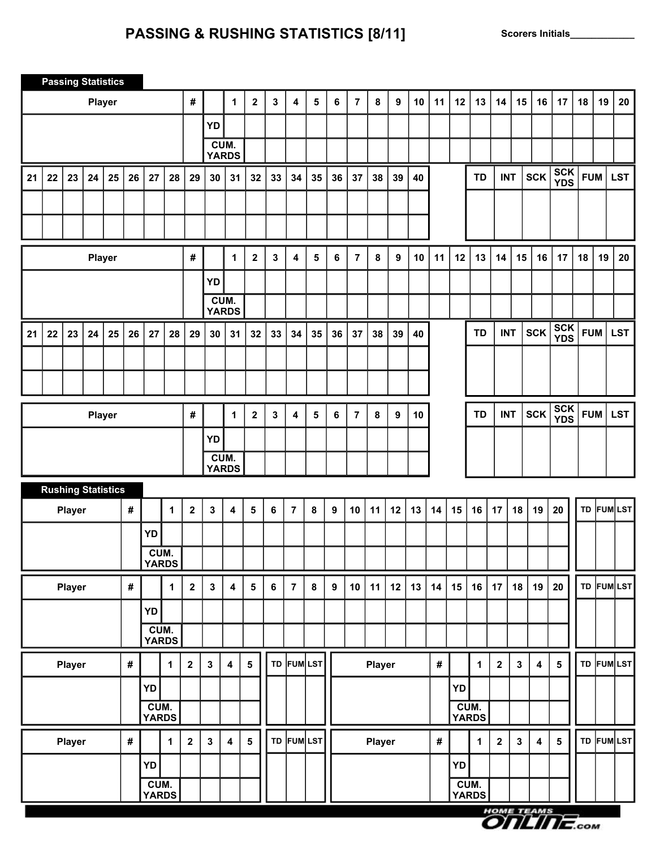## **PASSING & RUSHING STATISTICS [8/11] Scorers Initials\_\_\_\_\_\_\_\_\_\_\_\_**

|    |    |               | <b>Passing Statistics</b> |    |            |                      |              |                         |           |              |                  |    |                |    |    |                |               |    |    |            |    |                      |                         |    |                         |                           |            |    |            |
|----|----|---------------|---------------------------|----|------------|----------------------|--------------|-------------------------|-----------|--------------|------------------|----|----------------|----|----|----------------|---------------|----|----|------------|----|----------------------|-------------------------|----|-------------------------|---------------------------|------------|----|------------|
|    |    |               | <b>Player</b>             |    |            |                      |              | #                       |           | 1            | $\mathbf 2$      | 3  | 4              | 5  | 6  | $\overline{7}$ | 8             | 9  | 10 | 11         | 12 | 13                   | 14                      | 15 | 16                      | 17                        | 18         | 19 | 20         |
|    |    |               |                           |    |            |                      |              |                         | YD        |              |                  |    |                |    |    |                |               |    |    |            |    |                      |                         |    |                         |                           |            |    |            |
|    |    |               |                           |    |            |                      |              |                         | CUM.      | <b>YARDS</b> |                  |    |                |    |    |                |               |    |    |            |    |                      |                         |    |                         |                           |            |    |            |
| 21 | 22 | 23            | 24                        | 25 | 26         | 27                   | 28           | 29                      | 30        | 31           | 32               | 33 | 34             | 35 | 36 | 37             | 38            | 39 | 40 |            |    | <b>TD</b>            | <b>INT</b>              |    | <b>SCK</b>              | <b>SCK</b><br><b>YDS</b>  | <b>FUM</b> |    | <b>LST</b> |
|    |    |               |                           |    |            |                      |              |                         |           |              |                  |    |                |    |    |                |               |    |    |            |    |                      |                         |    |                         |                           |            |    |            |
|    |    |               |                           |    |            |                      |              |                         |           |              |                  |    |                |    |    |                |               |    |    |            |    |                      |                         |    |                         |                           |            |    |            |
|    |    |               | <b>Player</b>             |    |            |                      |              | $\pmb{\#}$              |           | 1            | $\mathbf 2$      | 3  | 4              | 5  | 6  | $\overline{7}$ | 8             | 9  | 10 | 11         | 12 | 13                   | 14                      | 15 | 16                      | 17                        | 18         | 19 | 20         |
|    |    |               |                           |    |            |                      |              |                         | YD        |              |                  |    |                |    |    |                |               |    |    |            |    |                      |                         |    |                         |                           |            |    |            |
|    |    |               |                           |    |            |                      |              |                         | CUM.      | <b>YARDS</b> |                  |    |                |    |    |                |               |    |    |            |    |                      |                         |    |                         |                           |            |    |            |
| 21 | 22 | 23            | 24                        | 25 | 26         | 27                   | 28           | 29                      | 30        | 31           | 32               | 33 | 34             | 35 | 36 | 37             | 38            | 39 | 40 |            |    | <b>TD</b>            | <b>INT</b>              |    | <b>SCK</b>              | <b>SCK</b><br><b>YDS</b>  | <b>FUM</b> |    | <b>LST</b> |
|    |    |               |                           |    |            |                      |              |                         |           |              |                  |    |                |    |    |                |               |    |    |            |    |                      |                         |    |                         |                           |            |    |            |
|    |    |               |                           |    |            |                      |              |                         |           |              |                  |    |                |    |    |                |               |    |    |            |    |                      |                         |    |                         |                           |            |    |            |
|    |    |               | Player                    |    |            |                      |              | $\pmb{\#}$              |           | 1            | $\boldsymbol{2}$ | 3  | 4              | 5  | 6  | $\overline{7}$ | 8             | 9  | 10 |            |    | <b>TD</b>            | <b>INT</b>              |    | <b>SCK</b>              | <b>SCK</b>                | <b>FUM</b> |    | <b>LST</b> |
|    |    |               |                           |    |            |                      |              |                         | <b>YD</b> |              |                  |    |                |    |    |                |               |    |    |            |    |                      |                         |    |                         | <b>YDS</b>                |            |    |            |
|    |    |               |                           |    |            |                      |              |                         | CUM.      |              |                  |    |                |    |    |                |               |    |    |            |    |                      |                         |    |                         |                           |            |    |            |
|    |    |               | <b>Rushing Statistics</b> |    |            |                      |              |                         |           | <b>YARDS</b> |                  |    |                |    |    |                |               |    |    |            |    |                      |                         |    |                         |                           |            |    |            |
|    |    | <b>Player</b> |                           |    | $\pmb{\#}$ |                      | 1            | $\mathbf 2$             | 3         | 4            | 5                | 6  | $\overline{7}$ | 8  | 9  | 10             | 11            | 12 | 13 | 14         | 15 | 16                   | 17                      | 18 | 19                      | 20                        |            |    | TD FUM LST |
|    |    |               |                           |    |            | YD                   |              |                         |           |              |                  |    |                |    |    |                |               |    |    |            |    |                      |                         |    |                         |                           |            |    |            |
|    |    |               |                           |    |            | <b>CUM.</b><br>YARDS |              |                         |           |              |                  |    |                |    |    |                |               |    |    |            |    |                      |                         |    |                         |                           |            |    |            |
|    |    | Player        |                           |    | $\#$       |                      | 1            | $\overline{\mathbf{2}}$ | 3         | 4            | 5                | 6  | $\overline{7}$ | 8  | 9  | 10             | 11            | 12 | 13 | 14         | 15 | 16                   | 17                      | 18 | 19                      | 20                        |            |    | TD FUM LST |
|    |    |               |                           |    |            | YD                   |              |                         |           |              |                  |    |                |    |    |                |               |    |    |            |    |                      |                         |    |                         |                           |            |    |            |
|    |    |               |                           |    |            | CUM.<br><b>YARDS</b> |              |                         |           |              |                  |    |                |    |    |                |               |    |    |            |    |                      |                         |    |                         |                           |            |    |            |
|    |    | <b>Player</b> |                           |    | $\#$       |                      | $\mathbf{1}$ | $\mathbf{2}$            | 3         | 4            | $5\phantom{a}$   |    | TD FUM LST     |    |    |                | <b>Player</b> |    |    | $\pmb{\#}$ |    | $\mathbf{1}$         | $\overline{\mathbf{2}}$ | 3  | 4                       | $\sqrt{5}$                |            |    | TD FUM LST |
|    |    |               |                           |    |            | YD                   |              |                         |           |              |                  |    |                |    |    |                |               |    |    |            | YD |                      |                         |    |                         |                           |            |    |            |
|    |    |               |                           |    |            | CUM.<br><b>YARDS</b> |              |                         |           |              |                  |    |                |    |    |                |               |    |    |            |    | CUM.<br><b>YARDS</b> |                         |    |                         |                           |            |    |            |
|    |    | Player        |                           |    | $\pmb{\#}$ |                      | $\mathbf{1}$ | $\overline{\mathbf{2}}$ | 3         | 4            | $5\phantom{a}$   |    | TD FUM LST     |    |    |                | Player        |    |    | $\#$       |    | 1                    | $\overline{\mathbf{2}}$ | 3  | $\overline{\mathbf{4}}$ | $5\phantom{1}$            |            |    | TD FUM LST |
|    |    |               |                           |    |            | YD                   |              |                         |           |              |                  |    |                |    |    |                |               |    |    |            | YD |                      |                         |    |                         |                           |            |    |            |
|    |    |               |                           |    |            | CUM.                 |              |                         |           |              |                  |    |                |    |    |                |               |    |    |            |    | CUM.                 |                         |    |                         |                           |            |    |            |
|    |    |               |                           |    |            | <b>YARDS</b>         |              |                         |           |              |                  |    |                |    |    |                |               |    |    |            |    | <b>YARDS</b>         |                         |    |                         |                           |            |    |            |
|    |    |               |                           |    |            |                      |              |                         |           |              |                  |    |                |    |    |                |               |    |    |            |    |                      |                         |    |                         | HOME TEAMS<br>On IT TICOM |            |    |            |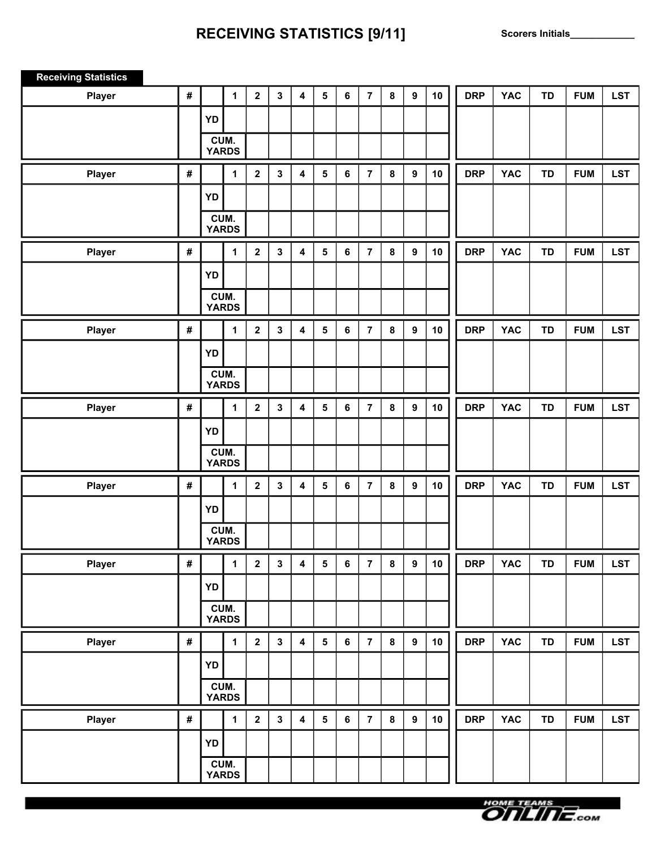## **RECEIVING STATISTICS [9/11] Scorers Initials\_\_\_\_\_\_\_\_\_\_\_\_**

| <b>Receiving Statistics</b> |            |    |                      |                         |             |                         |                |         |                |           |                  |    |            |            |           |            |            |
|-----------------------------|------------|----|----------------------|-------------------------|-------------|-------------------------|----------------|---------|----------------|-----------|------------------|----|------------|------------|-----------|------------|------------|
| <b>Player</b>               | $\pmb{\#}$ |    | $\mathbf 1$          | $\overline{2}$          | $\mathbf 3$ | $\overline{\mathbf{4}}$ | 5              | $\bf 6$ | $\overline{7}$ | 8         | $\boldsymbol{9}$ | 10 | <b>DRP</b> | <b>YAC</b> | TD        | <b>FUM</b> | <b>LST</b> |
|                             |            | YD |                      |                         |             |                         |                |         |                |           |                  |    |            |            |           |            |            |
|                             |            |    | CUM.<br><b>YARDS</b> |                         |             |                         |                |         |                |           |                  |    |            |            |           |            |            |
| <b>Player</b>               | $\pmb{\#}$ |    | $\mathbf{1}$         | $\mathbf{2}$            | 3           | $\overline{\mathbf{4}}$ | 5              | $\bf 6$ | $\overline{7}$ | 8         | 9                | 10 | <b>DRP</b> | <b>YAC</b> | TD        | <b>FUM</b> | <b>LST</b> |
|                             |            | YD |                      |                         |             |                         |                |         |                |           |                  |    |            |            |           |            |            |
|                             |            |    | CUM.                 |                         |             |                         |                |         |                |           |                  |    |            |            |           |            |            |
|                             |            |    | <b>YARDS</b>         |                         |             |                         |                |         |                |           |                  |    |            |            |           |            |            |
| Player                      | $\pmb{\#}$ |    | $\mathbf{1}$         | $\mathbf{2}$            | $\mathbf 3$ | $\overline{\mathbf{4}}$ | $5\phantom{a}$ | $\bf 6$ | $\overline{7}$ | 8         | $\boldsymbol{9}$ | 10 | <b>DRP</b> | <b>YAC</b> | <b>TD</b> | <b>FUM</b> | <b>LST</b> |
|                             |            | YD |                      |                         |             |                         |                |         |                |           |                  |    |            |            |           |            |            |
|                             |            |    | CUM.<br><b>YARDS</b> |                         |             |                         |                |         |                |           |                  |    |            |            |           |            |            |
| <b>Player</b>               | $\pmb{\#}$ |    | $\mathbf{1}$         | $\overline{\mathbf{2}}$ | 3           | $\overline{\mathbf{4}}$ | $5\phantom{a}$ | $\bf 6$ | $\overline{7}$ | 8         | $\boldsymbol{9}$ | 10 | <b>DRP</b> | <b>YAC</b> | <b>TD</b> | <b>FUM</b> | <b>LST</b> |
|                             |            | YD |                      |                         |             |                         |                |         |                |           |                  |    |            |            |           |            |            |
|                             |            |    | CUM.                 |                         |             |                         |                |         |                |           |                  |    |            |            |           |            |            |
|                             |            |    | <b>YARDS</b>         |                         |             |                         |                |         |                |           |                  |    |            |            |           |            |            |
| Player                      | $\pmb{\#}$ |    | $\mathbf{1}$         | $\mathbf 2$             | 3           | $\overline{\mathbf{4}}$ | 5              | 6       | $\overline{7}$ | 8         | $\boldsymbol{9}$ | 10 | <b>DRP</b> | <b>YAC</b> | <b>TD</b> | <b>FUM</b> | <b>LST</b> |
|                             |            | YD |                      |                         |             |                         |                |         |                |           |                  |    |            |            |           |            |            |
|                             |            |    | CUM.<br><b>YARDS</b> |                         |             |                         |                |         |                |           |                  |    |            |            |           |            |            |
| <b>Player</b>               | $\#$       |    | $\mathbf{1}$         | $\mathbf 2$             | 3           | $\overline{\mathbf{4}}$ | 5              | $\bf 6$ | $\overline{7}$ | 8         | $\boldsymbol{9}$ | 10 | <b>DRP</b> | <b>YAC</b> | <b>TD</b> | <b>FUM</b> | <b>LST</b> |
|                             |            | YD |                      |                         |             |                         |                |         |                |           |                  |    |            |            |           |            |            |
|                             |            |    | CUM.                 |                         |             |                         |                |         |                |           |                  |    |            |            |           |            |            |
|                             |            |    | <b>YARDS</b>         |                         |             |                         |                |         |                |           |                  |    |            |            |           |            |            |
| Player                      | $\#$       |    | $\mathbf{1}$         | $\mathbf 2$             | 3           | $\overline{\mathbf{4}}$ | $5\phantom{a}$ | 6       | $\overline{7}$ | ${\bf 8}$ | 9                | 10 | <b>DRP</b> | <b>YAC</b> | <b>TD</b> | <b>FUM</b> | <b>LST</b> |
|                             |            | YD |                      |                         |             |                         |                |         |                |           |                  |    |            |            |           |            |            |
|                             |            |    | CUM.<br><b>YARDS</b> |                         |             |                         |                |         |                |           |                  |    |            |            |           |            |            |
| Player                      | $\#$       |    | $\mathbf{1}$         | $\mathbf 2$             | $\mathbf 3$ | $\overline{\mathbf{4}}$ | 5              | $\bf 6$ | $\overline{7}$ | 8         | $\boldsymbol{9}$ | 10 | <b>DRP</b> | <b>YAC</b> | TD        | <b>FUM</b> | <b>LST</b> |
|                             |            | YD |                      |                         |             |                         |                |         |                |           |                  |    |            |            |           |            |            |
|                             |            |    | CUM.<br><b>YARDS</b> |                         |             |                         |                |         |                |           |                  |    |            |            |           |            |            |
| Player                      | #          |    | $\mathbf 1$          | $\overline{2}$          | $\mathbf 3$ | $\overline{\mathbf{4}}$ | 5              | 6       | $\overline{7}$ | 8         | 9                | 10 | <b>DRP</b> | <b>YAC</b> | TD        | <b>FUM</b> | <b>LST</b> |
|                             |            | YD |                      |                         |             |                         |                |         |                |           |                  |    |            |            |           |            |            |
|                             |            |    | CUM.<br><b>YARDS</b> |                         |             |                         |                |         |                |           |                  |    |            |            |           |            |            |
|                             |            |    |                      |                         |             |                         |                |         |                |           |                  |    |            |            |           |            |            |

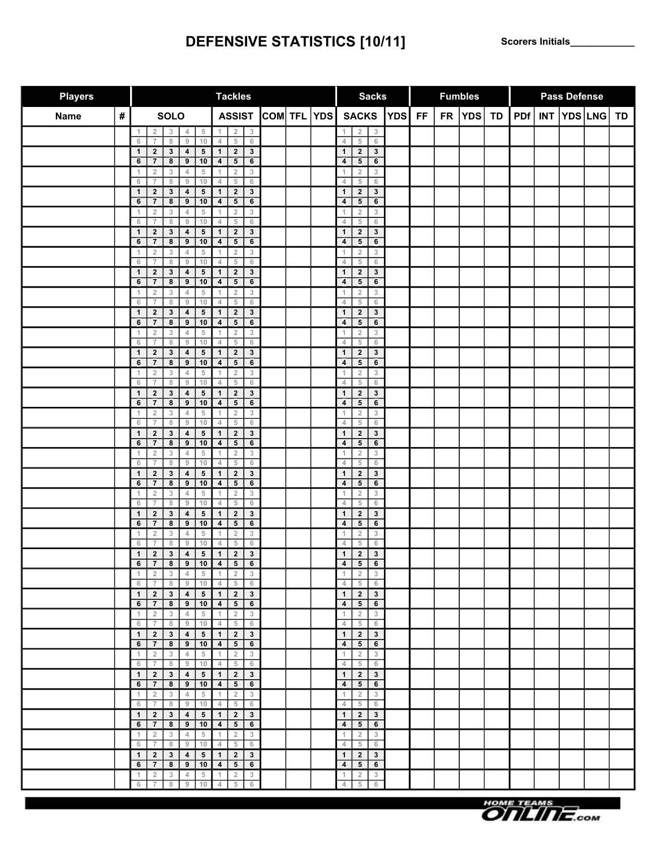# DEFENSIVE STATISTICS [10/11] **Scorers** Initials\_\_\_\_\_\_\_\_\_\_\_\_\_\_\_\_\_\_\_\_\_\_\_\_\_\_\_\_\_\_\_\_\_

| <b>Players</b> |      |                                                                                                                                                              | <b>Tackles</b>                                                                                                       | <b>Sacks</b>       |  |                                                                                                |            | <b>Fumbles</b> |           | <b>Pass Defense</b> |    |     |  |             |  |    |
|----------------|------|--------------------------------------------------------------------------------------------------------------------------------------------------------------|----------------------------------------------------------------------------------------------------------------------|--------------------|--|------------------------------------------------------------------------------------------------|------------|----------------|-----------|---------------------|----|-----|--|-------------|--|----|
| <b>Name</b>    | $\#$ | <b>SOLO</b>                                                                                                                                                  |                                                                                                                      | ASSIST COM TFL YDS |  | <b>SACKS</b>                                                                                   | <b>YDS</b> | <b>FF</b>      | <b>FR</b> | YDS                 | TD | PDF |  | INT YDS LNG |  | TD |
|                |      | $\,$ 5<br>$\sqrt{2}$<br>$\ensuremath{\mathsf{3}}$<br>$\sqrt{4}$<br>1<br>$9\,$<br>10<br>$\, 8$<br>$\,$ 6<br>$\overline{7}$                                    | $\sqrt{2}$<br>1<br>3<br>$\sqrt{5}$<br>$6\,$<br>$\overline{4}$                                                        |                    |  | $\sqrt{2}$<br>$\sqrt{3}$<br>1<br>$\overline{5}$<br>$\sqrt{6}$<br>$\overline{4}$                |            |                |           |                     |    |     |  |             |  |    |
|                |      | $\overline{\mathbf{4}}$<br>$\mathbf{3}$<br>${\bf 5}$<br>$\mathbf{2}$<br>$\mathbf{1}$<br>7<br>$\bf{8}$<br>$\overline{9}$<br>10<br>6                           | $\overline{1}$<br>$\overline{\mathbf{2}}$<br>$\mathbf{3}$<br>$\overline{\mathbf{5}}$<br>6<br>$\overline{\mathbf{4}}$ |                    |  | $\mathbf{3}$<br>$\mathbf{2}$<br>$\mathbf 1$<br>$\overline{5}$<br>6<br>4                        |            |                |           |                     |    |     |  |             |  |    |
|                |      | $\sqrt{2}$<br>$\ensuremath{\mathsf{3}}$<br>$\sqrt{4}$<br>$\,$ 5<br>1<br>6<br>$\overline{7}$<br>$\,$ 8 $\,$<br>9<br>10                                        | $\sqrt{2}$<br>$_{3}$<br>1<br>$\overline{4}$<br>$\sqrt{5}$<br>6                                                       |                    |  | $\sqrt{2}$<br>3<br>1<br>$\overline{4}$<br>$\sqrt{5}$<br>6                                      |            |                |           |                     |    |     |  |             |  |    |
|                |      | $\overline{\mathbf{4}}$<br>$\mathbf 2$<br>$\mathbf 3$<br>${\bf 5}$<br>$\mathbf{1}$                                                                           | $\mathbf{1}$<br>$\mathbf{2}$<br>$\mathbf 3$                                                                          |                    |  | $\mathbf{2}$<br>$\mathbf{3}$<br>$\mathbf 1$                                                    |            |                |           |                     |    |     |  |             |  |    |
|                |      | $\bf{8}$<br>10<br>6<br>$\overline{7}$<br>9<br>$\ensuremath{\mathnormal{4}}$<br>$\ensuremath{\mathsf{3}}$<br>$\,$ 5<br>$\overline{2}$<br>$\mathbf{1}$         | $\overline{\overline{\overline{5}}}$<br>6<br>$\overline{\mathbf{4}}$<br>$\overline{2}$<br>3<br>1                     |                    |  | $\overline{5}$<br>6<br>4<br>$\overline{\mathbf{2}}$<br>$\ensuremath{\mathsf{3}}$<br>1          |            |                |           |                     |    |     |  |             |  |    |
|                |      | $\overline{9}$<br>10<br>$\,$ 6<br>$\overline{7}$<br>8<br>$\mathbf 2$<br>$\mathbf 3$<br>$\overline{\mathbf{4}}$<br>${\bf 5}$<br>$\mathbf{1}$                  | $\sqrt{5}$<br>$6\,$<br>4<br>$\mathbf{1}$<br>$\mathbf{2}$<br>$\mathbf{3}$                                             |                    |  | $\overline{5}$<br>$\sqrt{6}$<br>4<br>$\bf{2}$<br>$\mathbf{1}$<br>$\mathbf{3}$                  |            |                |           |                     |    |     |  |             |  |    |
|                |      | 7<br>$\bf{8}$<br>$\overline{9}$<br>10<br>6<br>$\sqrt{2}$<br>$\ensuremath{\mathsf{3}}$<br>$\sqrt{4}$<br>$\,$ 5<br>1                                           | $\overline{5}$<br>$\overline{6}$<br>$\overline{\mathbf{4}}$<br>$\sqrt{2}$<br>$\ensuremath{\mathsf{3}}$<br>1          |                    |  | $\overline{5}$<br>$\overline{6}$<br>4<br>$\mathbf 2$<br>$\ensuremath{\mathsf{3}}$<br>1         |            |                |           |                     |    |     |  |             |  |    |
|                |      | $\,$ 8 $\,$<br>$\overline{9}$<br>10<br>$\,$ 6<br>$\overline{7}$<br>$\pmb{4}$<br>$\mathbf 2$<br>$\mathbf{3}$<br>${\bf 5}$<br>$\mathbf{1}$                     | $\sqrt{5}$<br>6<br>4<br>$\boldsymbol{2}$<br>$\mathbf{1}$<br>$\mathbf 3$                                              |                    |  | $\sqrt{5}$<br>6<br>4<br>$\mathbf{2}$<br>$\mathbf{1}$<br>$\mathbf{3}$                           |            |                |           |                     |    |     |  |             |  |    |
|                |      | 10<br>6<br>$\overline{7}$<br>8<br>9<br>$\ensuremath{\mathsf{3}}$<br>$\sqrt{4}$<br>$\,$ 5<br>$\sqrt{2}$<br>1                                                  | $5^{\circ}$<br>6<br>$\overline{\mathbf{4}}$<br>$\sqrt{2}$<br>$\ensuremath{\mathsf{3}}$<br>1                          |                    |  | 4<br>5<br>6<br>$\mathbf 2$<br>$\ensuremath{\mathsf{3}}$<br>1                                   |            |                |           |                     |    |     |  |             |  |    |
|                |      | $\overline{7}$<br>$\,$ 8 $\,$<br>$9\,$<br>10<br>$\,$ 6<br>$\overline{\mathbf{4}}$<br>${\bf 5}$<br>$\mathbf 2$<br>$\mathbf 3$<br>$\mathbf{1}$                 | $\sqrt{5}$<br>$6\,$<br>4<br>$\overline{2}$<br>$\overline{1}$<br>$\mathbf{3}$                                         |                    |  | $\sqrt{5}$<br>$6\,$<br>4<br>$\bf{2}$<br>$\mathbf{3}$<br>$\mathbf{1}$                           |            |                |           |                     |    |     |  |             |  |    |
|                |      | 7<br>$\bf{8}$<br>$\overline{9}$<br>10<br>6<br>$\ensuremath{\mathsf{3}}$<br>$\sqrt{2}$<br>$\sqrt{4}$<br>$\,$ 5<br>1                                           | $\overline{\mathbf{5}}$<br>$\overline{4}$<br>6<br>$\sqrt{2}$<br>$\ensuremath{\mathsf{3}}$<br>1                       |                    |  | $\overline{5}$<br>6<br>4<br>$\mathbf 2$<br>$\ensuremath{\mathbf{3}}$<br>1                      |            |                |           |                     |    |     |  |             |  |    |
|                |      | $\,$ 8 $\,$<br>$9\,$<br>$6\,$<br>$\overline{7}$<br>10<br>$\overline{\mathbf{4}}$<br>$\mathbf 2$<br>$\mathbf{3}$<br>${\bf 5}$<br>$\mathbf{1}$                 | $\sqrt{5}$<br>$\overline{4}$<br>$6\,$<br>$\mathbf 2$<br>$\mathbf{1}$<br>$\mathbf{3}$                                 |                    |  | $\sqrt{5}$<br>$\overline{4}$<br>6<br>$\overline{2}$<br>$\mathbf{1}$<br>$\mathbf{3}$            |            |                |           |                     |    |     |  |             |  |    |
|                |      | $\bf{8}$<br>10<br>6<br>$\overline{7}$<br>9<br>$\ensuremath{\mathsf{3}}$<br>$\ensuremath{\mathnormal{4}}$<br>$\,$ 5<br>$\sqrt{2}$<br>$\mathbf 1$              | $\overline{5}$<br>6<br>$\overline{\mathbf{4}}$<br>$\sqrt{2}$<br>$\ensuremath{\mathsf{3}}$<br>1                       |                    |  | $\overline{\mathbf{5}}$<br>6<br>4<br>$\overline{\mathbf{2}}$<br>$\ensuremath{\mathsf{3}}$<br>1 |            |                |           |                     |    |     |  |             |  |    |
|                |      | $\overline{9}$<br>$\,$ 8 $\,$<br>10<br>6<br>$\overline{7}$<br>$\mathbf{3}$<br>$\overline{\mathbf{4}}$<br>${\bf 5}$<br>$\mathbf{1}$<br>$\mathbf{2}$           | $\sqrt{5}$<br>$\sqrt{6}$<br>$\overline{4}$<br>$\mathbf{1}$<br>$\mathbf{2}$<br>$\mathbf{3}$                           |                    |  | $\overline{5}$<br>$\sqrt{6}$<br>$\overline{4}$<br>$\mathbf{1}$<br>$\mathbf{2}$<br>$\mathbf{3}$ |            |                |           |                     |    |     |  |             |  |    |
|                |      | 10<br>7<br>$\bf{8}$<br>$\overline{9}$<br>6                                                                                                                   | $\overline{5}$<br>$\overline{6}$<br>$\overline{\mathbf{4}}$                                                          |                    |  | $\overline{5}$<br>$\overline{6}$<br>4                                                          |            |                |           |                     |    |     |  |             |  |    |
|                |      | $\sqrt{2}$<br>$\ensuremath{\mathsf{3}}$<br>$\,$ 5<br>$\sqrt{4}$<br>1<br>$\,$ 8 $\,$<br>9<br>10<br>6<br>$\overline{7}$                                        | $\mathbf 2$<br>$\ensuremath{\mathsf{3}}$<br>1<br>$\overline{4}$<br>$\sqrt{5}$<br>$6\,$                               |                    |  | $\mathbf 2$<br>$\ensuremath{\mathsf{3}}$<br>1<br>$\sqrt{5}$<br>6<br>4                          |            |                |           |                     |    |     |  |             |  |    |
|                |      | $\pmb{4}$<br>${\bf 5}$<br>$\mathbf 2$<br>$\mathbf{3}$<br>$\mathbf{1}$<br>$\bf{8}$<br>10<br>6<br>$\overline{7}$<br>9                                          | $\boldsymbol{2}$<br>$\mathbf{1}$<br>$\mathbf{3}$<br>$\overline{5}$<br>6<br>$\overline{\mathbf{4}}$                   |                    |  | $\mathbf{2}$<br>$\mathbf{1}$<br>$\mathbf{3}$<br>$\overline{5}$<br>4<br>6                       |            |                |           |                     |    |     |  |             |  |    |
|                |      | $\ensuremath{\mathsf{3}}$<br>$\sqrt{4}$<br>$\,$ 5<br>$\sqrt{2}$<br>1<br>$9$<br>10<br>$\overline{7}$<br>$\, 8$<br>6                                           | $\sqrt{2}$<br>$\ensuremath{\mathsf{3}}$<br>1<br>$\sqrt{5}$<br>$6\,$<br>4                                             |                    |  | $\overline{\mathbf{2}}$<br>$_{3}$<br>1<br>$\sqrt{5}$<br>$6\,$<br>4                             |            |                |           |                     |    |     |  |             |  |    |
|                |      | $\pmb{4}$<br>$\mathbf 3$<br>${\bf 5}$<br>$\mathbf{2}$<br>$\mathbf{1}$<br>7<br>$\bf{8}$<br>$\overline{9}$<br>10<br>6                                          | $\overline{2}$<br>$\overline{1}$<br>$\mathbf{3}$<br>$\overline{5}$<br>$\overline{6}$<br>$\overline{4}$               |                    |  | $\bf{2}$<br>$\mathbf 3$<br>$\mathbf{1}$<br>$\overline{6}$<br>$\overline{5}$<br>4               |            |                |           |                     |    |     |  |             |  |    |
|                |      | $\sqrt{2}$<br>$\ensuremath{\mathsf{3}}$<br>$\,$ 5<br>4<br>1<br>6<br>$\overline{7}$<br>$\,$ 8 $\,$<br>$\overline{9}$<br>10                                    | $\sqrt{2}$<br>$\ensuremath{\mathsf{3}}$<br>1<br>$\sqrt{5}$<br>$\overline{4}$<br>$6\,$                                |                    |  | $\sqrt{2}$<br>3<br>1<br>$\overline{4}$<br>$\sqrt{5}$<br>6                                      |            |                |           |                     |    |     |  |             |  |    |
|                |      | $\overline{\mathbf{4}}$<br>$\mathbf 2$<br>$\mathbf 3$<br>${\bf 5}$<br>$\mathbf{1}$<br>10<br>6<br>$\overline{7}$<br>8<br>9                                    | $\mathbf{1}$<br>$\mathbf{2}$<br>$\mathbf{3}$<br>$\sqrt{5}$<br>6<br>$\overline{\mathbf{4}}$                           |                    |  | $\mathbf{2}$<br>$\mathbf{3}$<br>$\mathbf{1}$<br>$\overline{5}$<br>6<br>4                       |            |                |           |                     |    |     |  |             |  |    |
|                |      | $\ensuremath{\mathsf{3}}$<br>$\sqrt{4}$<br>$\,$ 5<br>1<br>$\overline{2}$<br>$9$<br>10<br>$\,$ 8 $\,$<br>6<br>$\overline{7}$                                  | $\sqrt{2}$<br>3<br>1<br>$\sqrt{5}$<br>$6\,$<br>$\overline{4}$                                                        |                    |  | $\overline{\mathbf{2}}$<br>3<br>1<br>5<br>$6\,$<br>$\overline{4}$                              |            |                |           |                     |    |     |  |             |  |    |
|                |      | $\mathbf 3$<br>$\overline{\mathbf{4}}$<br>${\bf 5}$<br>$\mathbf{1}$<br>$\mathbf 2$<br>$6\phantom{a}$<br>7<br>$\overline{\mathbf{8}}$<br>10<br>$\overline{9}$ | $\mathbf{1}$<br>$\mathbf{2}$<br>$\mathbf{3}$<br>$\overline{5}$<br>6<br>$\overline{\mathbf{4}}$                       |                    |  | $\bf{2}$<br>$\mathbf 3$<br>$\mathbf{1}$<br>$\overline{\phantom{a}}$<br>6<br>$\overline{4}$     |            |                |           |                     |    |     |  |             |  |    |
|                |      | $\sqrt{2}$<br>1<br>3<br>$\overline{4}$<br>5<br>6<br>$\overline{7}$<br>8<br>9<br>10                                                                           | $\overline{2}$<br>$\ensuremath{\mathsf{3}}$<br>1<br>5<br>4<br>6                                                      |                    |  | $\sqrt{2}$<br>$\mathbf{3}$<br>1<br>5<br>$\overline{4}$<br>6                                    |            |                |           |                     |    |     |  |             |  |    |
|                |      | $\mathbf{1}$<br>$\overline{2}$<br>$\mathbf{3}$<br>$\overline{4}$<br>$5\phantom{.0}$<br>10<br>6<br>$\overline{7}$<br>8<br>9                                   | $\overline{2}$<br>$\mathbf{1}$<br>$\mathbf{3}$<br>$5\phantom{.0}$<br>6<br>$\overline{4}$                             |                    |  | $\mathbf{1}$<br>2 <sup>1</sup><br>$\mathbf{3}$<br>4<br>$5\overline{5}$<br>6                    |            |                |           |                     |    |     |  |             |  |    |
|                |      | $\mathbf{3}$<br>4<br>$\sqrt{5}$<br>$\overline{2}$<br>1<br>$\overline{7}$<br>6<br>8<br>9<br>10                                                                | $\overline{2}$<br>1<br>3<br>$\sqrt{5}$<br>6<br>$\overline{4}$                                                        |                    |  | $\overline{2}$<br>3<br>1<br>$\overline{4}$<br>5<br>6                                           |            |                |           |                     |    |     |  |             |  |    |
|                |      | $\mathbf{1}$<br>$\overline{2}$<br>$\mathbf{3}$<br>$\overline{4}$<br>5<br>$\overline{7}$<br>6<br>8<br>9<br>10                                                 | $\overline{2}$<br>$\mathbf{1}$<br>$\mathbf{3}$<br>$\overline{\mathbf{4}}$<br>$5\phantom{.0}$<br>6                    |                    |  | $\mathbf{1}$<br>$\mathbf{2}$<br>$\mathbf{3}$<br>4<br>5 <sub>5</sub><br>6                       |            |                |           |                     |    |     |  |             |  |    |
|                |      | $\overline{2}$<br>$\mathbf{3}$<br>1<br>4<br>5                                                                                                                | $\overline{2}$<br>$3 -$<br>1                                                                                         |                    |  | $\overline{2}$<br>$\mathbf{3}$<br>1                                                            |            |                |           |                     |    |     |  |             |  |    |
|                |      | 6<br>$\overline{7}$<br>8<br>$9\,$<br>10<br>$\mathbf{1}$<br>$\overline{2}$<br>$\mathbf{3}$<br>$\overline{4}$<br>$5\phantom{.0}$                               | 4<br>5<br>6<br>$\mathbf{1}$<br>$\overline{2}$<br>$\mathbf{3}$                                                        |                    |  | 4<br>5<br>6<br>$\overline{2}$<br>$\mathbf{3}$<br>$\mathbf{1}$                                  |            |                |           |                     |    |     |  |             |  |    |
|                |      | 6<br>$\overline{7}$<br>8<br>9<br>10<br>1<br>$\overline{2}$<br>3<br>4<br>5                                                                                    | $5\phantom{.0}$<br>6<br>$\overline{\mathbf{4}}$<br>$\overline{2}$<br>1<br>3                                          |                    |  | 4<br>$5\overline{5}$<br>6<br>$\overline{2}$<br>3<br>1                                          |            |                |           |                     |    |     |  |             |  |    |
|                |      | 6<br>$\overline{7}$<br>$9\,$<br>10<br>8<br>$\mathbf{1}$<br>$\overline{\mathbf{2}}$<br>$\mathbf{3}$<br>$\overline{\mathbf{4}}$<br>5                           | $\sqrt{5}$<br>$\sqrt{6}$<br>4<br>$\mathbf{1}$<br>$\overline{2}$<br>3                                                 |                    |  | $\sqrt{5}$<br>6<br>4<br>$\mathbf{1}$<br>$\mathbf{2}$<br>$\mathbf{3}$                           |            |                |           |                     |    |     |  |             |  |    |
|                |      | 6<br>$\overline{7}$<br>8<br>9<br>10<br>$\overline{2}$<br>$\mathbf{3}$<br>1<br>4<br>5                                                                         | $5^{\circ}$<br>6<br>$\overline{\mathbf{4}}$<br>$\overline{2}$<br>1<br>3                                              |                    |  | $5^{\circ}$<br>6<br>4<br>$\overline{2}$<br>1<br>3                                              |            |                |           |                     |    |     |  |             |  |    |
|                |      | 6<br>$\overline{7}$<br>8<br>9<br>10<br>$\mathbf{1}$<br>$\overline{2}$<br>$\mathbf{3}$<br>$\overline{4}$<br>5                                                 | 5<br>6<br>$\overline{4}$<br>$\mathbf{1}$<br>$\overline{2}$<br>3                                                      |                    |  | 5<br>6<br>$\overline{4}$<br>$\mathbf{2}$<br>$\mathbf{1}$<br>$\mathbf{3}$                       |            |                |           |                     |    |     |  |             |  |    |
|                |      | 10<br>6<br>$\overline{7}$<br>8<br>9<br>$\overline{2}$<br>3<br>4<br>1<br>5                                                                                    | 5<br>$\overline{\mathbf{4}}$<br>6<br>$\overline{2}$<br>3<br>-1                                                       |                    |  | 4<br>5<br>6<br>$\overline{2}$<br>1<br>3                                                        |            |                |           |                     |    |     |  |             |  |    |
|                |      | $\overline{7}$<br>$9\,$<br>6<br>8<br>10                                                                                                                      | $\,$ 5<br>6<br>4                                                                                                     |                    |  | $\sqrt{5}$<br>4<br>6                                                                           |            |                |           |                     |    |     |  |             |  |    |